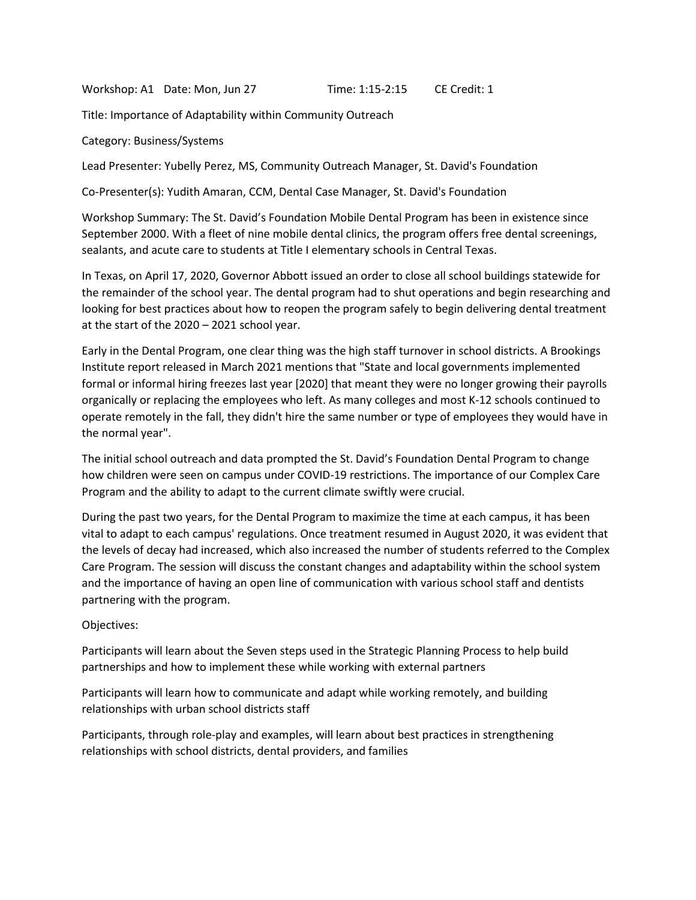Workshop: A1 Date: Mon, Jun 27 Time: 1:15-2:15 CE Credit: 1

Title: Importance of Adaptability within Community Outreach

Category: Business/Systems

Lead Presenter: Yubelly Perez, MS, Community Outreach Manager, St. David's Foundation

Co-Presenter(s): Yudith Amaran, CCM, Dental Case Manager, St. David's Foundation

Workshop Summary: The St. David's Foundation Mobile Dental Program has been in existence since September 2000. With a fleet of nine mobile dental clinics, the program offers free dental screenings, sealants, and acute care to students at Title I elementary schools in Central Texas.

In Texas, on April 17, 2020, Governor Abbott issued an order to close all school buildings statewide for the remainder of the school year. The dental program had to shut operations and begin researching and looking for best practices about how to reopen the program safely to begin delivering dental treatment at the start of the 2020 – 2021 school year.

Early in the Dental Program, one clear thing was the high staff turnover in school districts. A Brookings Institute report released in March 2021 mentions that "State and local governments implemented formal or informal hiring freezes last year [2020] that meant they were no longer growing their payrolls organically or replacing the employees who left. As many colleges and most K-12 schools continued to operate remotely in the fall, they didn't hire the same number or type of employees they would have in the normal year".

The initial school outreach and data prompted the St. David's Foundation Dental Program to change how children were seen on campus under COVID-19 restrictions. The importance of our Complex Care Program and the ability to adapt to the current climate swiftly were crucial.

During the past two years, for the Dental Program to maximize the time at each campus, it has been vital to adapt to each campus' regulations. Once treatment resumed in August 2020, it was evident that the levels of decay had increased, which also increased the number of students referred to the Complex Care Program. The session will discuss the constant changes and adaptability within the school system and the importance of having an open line of communication with various school staff and dentists partnering with the program.

Objectives:

Participants will learn about the Seven steps used in the Strategic Planning Process to help build partnerships and how to implement these while working with external partners

Participants will learn how to communicate and adapt while working remotely, and building relationships with urban school districts staff

Participants, through role-play and examples, will learn about best practices in strengthening relationships with school districts, dental providers, and families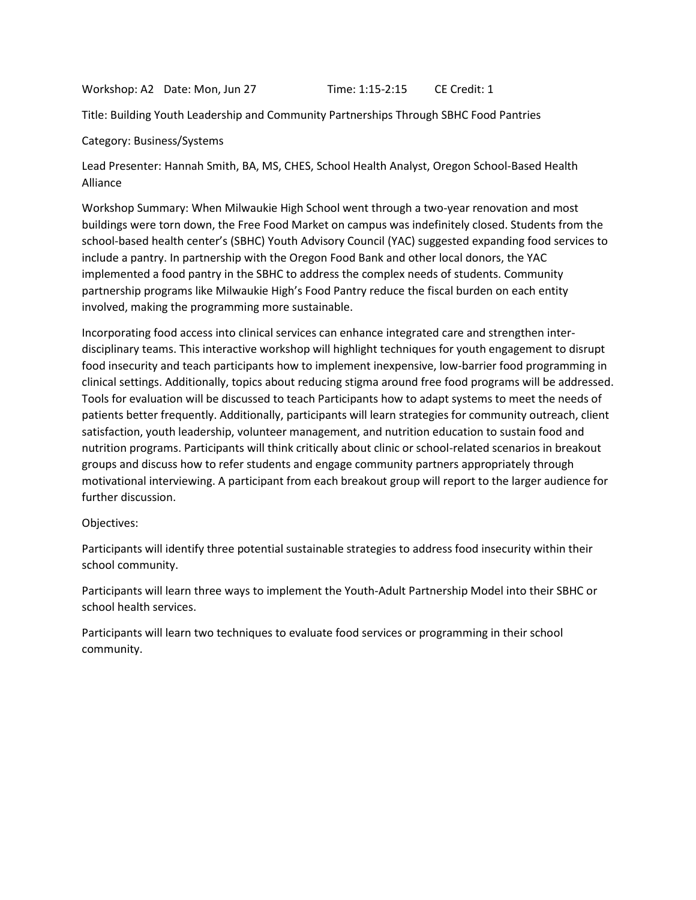Workshop: A2 Date: Mon, Jun 27 Time: 1:15-2:15 CE Credit: 1

Title: Building Youth Leadership and Community Partnerships Through SBHC Food Pantries

Category: Business/Systems

Lead Presenter: Hannah Smith, BA, MS, CHES, School Health Analyst, Oregon School-Based Health Alliance

Workshop Summary: When Milwaukie High School went through a two-year renovation and most buildings were torn down, the Free Food Market on campus was indefinitely closed. Students from the school-based health center's (SBHC) Youth Advisory Council (YAC) suggested expanding food services to include a pantry. In partnership with the Oregon Food Bank and other local donors, the YAC implemented a food pantry in the SBHC to address the complex needs of students. Community partnership programs like Milwaukie High's Food Pantry reduce the fiscal burden on each entity involved, making the programming more sustainable.

Incorporating food access into clinical services can enhance integrated care and strengthen interdisciplinary teams. This interactive workshop will highlight techniques for youth engagement to disrupt food insecurity and teach participants how to implement inexpensive, low-barrier food programming in clinical settings. Additionally, topics about reducing stigma around free food programs will be addressed. Tools for evaluation will be discussed to teach Participants how to adapt systems to meet the needs of patients better frequently. Additionally, participants will learn strategies for community outreach, client satisfaction, youth leadership, volunteer management, and nutrition education to sustain food and nutrition programs. Participants will think critically about clinic or school-related scenarios in breakout groups and discuss how to refer students and engage community partners appropriately through motivational interviewing. A participant from each breakout group will report to the larger audience for further discussion.

# Objectives:

Participants will identify three potential sustainable strategies to address food insecurity within their school community.

Participants will learn three ways to implement the Youth-Adult Partnership Model into their SBHC or school health services.

Participants will learn two techniques to evaluate food services or programming in their school community.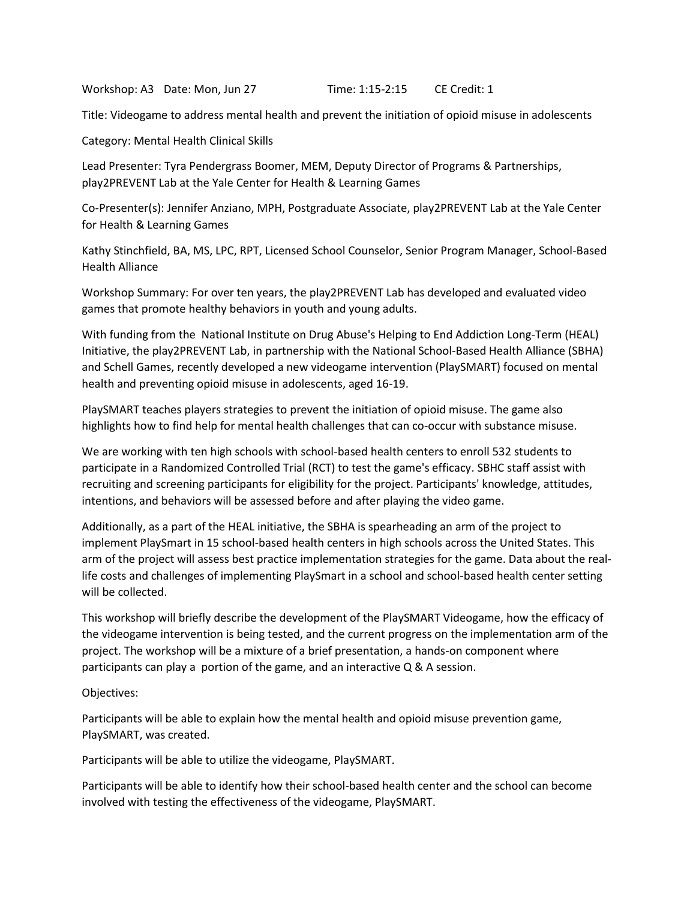Workshop: A3 Date: Mon, Jun 27 Time: 1:15-2:15 CE Credit: 1

Title: Videogame to address mental health and prevent the initiation of opioid misuse in adolescents

Category: Mental Health Clinical Skills

Lead Presenter: Tyra Pendergrass Boomer, MEM, Deputy Director of Programs & Partnerships, play2PREVENT Lab at the Yale Center for Health & Learning Games

Co-Presenter(s): Jennifer Anziano, MPH, Postgraduate Associate, play2PREVENT Lab at the Yale Center for Health & Learning Games

Kathy Stinchfield, BA, MS, LPC, RPT, Licensed School Counselor, Senior Program Manager, School-Based Health Alliance

Workshop Summary: For over ten years, the play2PREVENT Lab has developed and evaluated video games that promote healthy behaviors in youth and young adults.

With funding from the National Institute on Drug Abuse's Helping to End Addiction Long-Term (HEAL) Initiative, the play2PREVENT Lab, in partnership with the National School-Based Health Alliance (SBHA) and Schell Games, recently developed a new videogame intervention (PlaySMART) focused on mental health and preventing opioid misuse in adolescents, aged 16-19.

PlaySMART teaches players strategies to prevent the initiation of opioid misuse. The game also highlights how to find help for mental health challenges that can co-occur with substance misuse.

We are working with ten high schools with school-based health centers to enroll 532 students to participate in a Randomized Controlled Trial (RCT) to test the game's efficacy. SBHC staff assist with recruiting and screening participants for eligibility for the project. Participants' knowledge, attitudes, intentions, and behaviors will be assessed before and after playing the video game.

Additionally, as a part of the HEAL initiative, the SBHA is spearheading an arm of the project to implement PlaySmart in 15 school-based health centers in high schools across the United States. This arm of the project will assess best practice implementation strategies for the game. Data about the reallife costs and challenges of implementing PlaySmart in a school and school-based health center setting will be collected.

This workshop will briefly describe the development of the PlaySMART Videogame, how the efficacy of the videogame intervention is being tested, and the current progress on the implementation arm of the project. The workshop will be a mixture of a brief presentation, a hands-on component where participants can play a portion of the game, and an interactive Q & A session.

Objectives:

Participants will be able to explain how the mental health and opioid misuse prevention game, PlaySMART, was created.

Participants will be able to utilize the videogame, PlaySMART.

Participants will be able to identify how their school-based health center and the school can become involved with testing the effectiveness of the videogame, PlaySMART.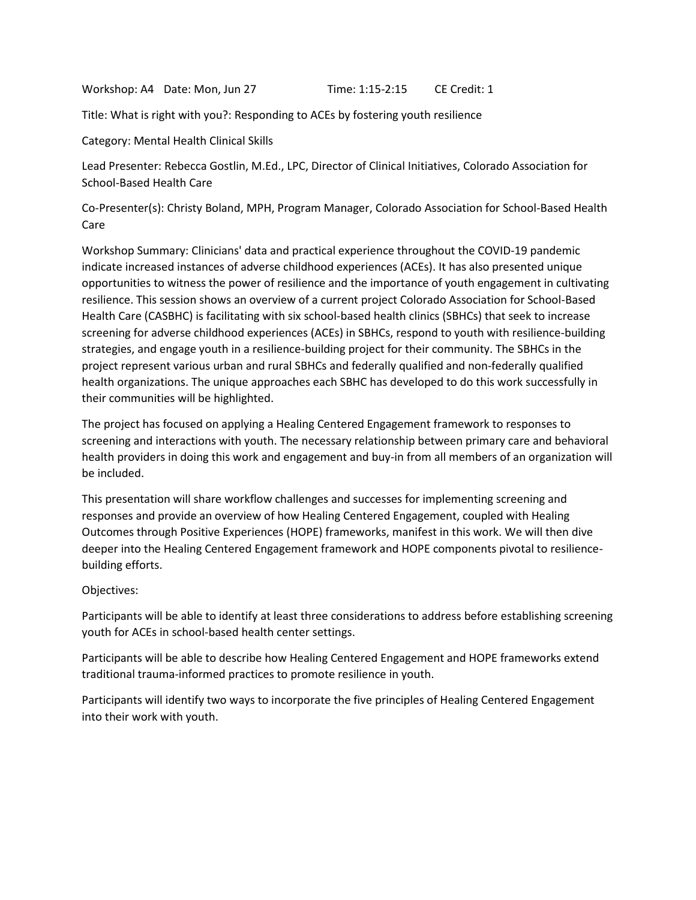Workshop: A4 Date: Mon, Jun 27 Time: 1:15-2:15 CE Credit: 1

Title: What is right with you?: Responding to ACEs by fostering youth resilience

Category: Mental Health Clinical Skills

Lead Presenter: Rebecca Gostlin, M.Ed., LPC, Director of Clinical Initiatives, Colorado Association for School-Based Health Care

Co-Presenter(s): Christy Boland, MPH, Program Manager, Colorado Association for School-Based Health Care

Workshop Summary: Clinicians' data and practical experience throughout the COVID-19 pandemic indicate increased instances of adverse childhood experiences (ACEs). It has also presented unique opportunities to witness the power of resilience and the importance of youth engagement in cultivating resilience. This session shows an overview of a current project Colorado Association for School-Based Health Care (CASBHC) is facilitating with six school-based health clinics (SBHCs) that seek to increase screening for adverse childhood experiences (ACEs) in SBHCs, respond to youth with resilience-building strategies, and engage youth in a resilience-building project for their community. The SBHCs in the project represent various urban and rural SBHCs and federally qualified and non-federally qualified health organizations. The unique approaches each SBHC has developed to do this work successfully in their communities will be highlighted.

The project has focused on applying a Healing Centered Engagement framework to responses to screening and interactions with youth. The necessary relationship between primary care and behavioral health providers in doing this work and engagement and buy-in from all members of an organization will be included.

This presentation will share workflow challenges and successes for implementing screening and responses and provide an overview of how Healing Centered Engagement, coupled with Healing Outcomes through Positive Experiences (HOPE) frameworks, manifest in this work. We will then dive deeper into the Healing Centered Engagement framework and HOPE components pivotal to resiliencebuilding efforts.

# Objectives:

Participants will be able to identify at least three considerations to address before establishing screening youth for ACEs in school-based health center settings.

Participants will be able to describe how Healing Centered Engagement and HOPE frameworks extend traditional trauma-informed practices to promote resilience in youth.

Participants will identify two ways to incorporate the five principles of Healing Centered Engagement into their work with youth.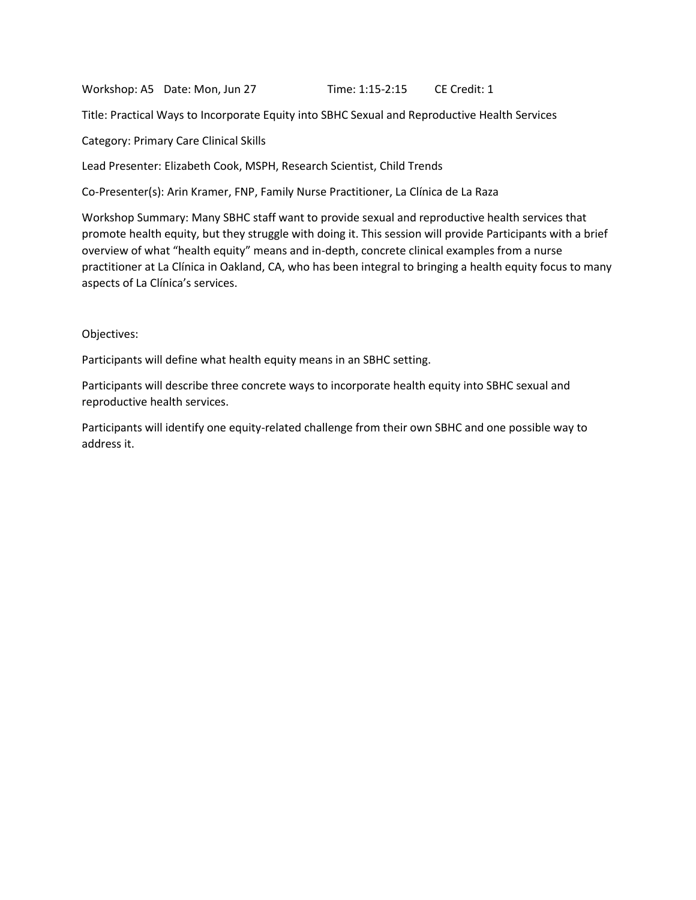Workshop: A5 Date: Mon, Jun 27 Time: 1:15-2:15 CE Credit: 1

Title: Practical Ways to Incorporate Equity into SBHC Sexual and Reproductive Health Services

Category: Primary Care Clinical Skills

Lead Presenter: Elizabeth Cook, MSPH, Research Scientist, Child Trends

Co-Presenter(s): Arin Kramer, FNP, Family Nurse Practitioner, La Clínica de La Raza

Workshop Summary: Many SBHC staff want to provide sexual and reproductive health services that promote health equity, but they struggle with doing it. This session will provide Participants with a brief overview of what "health equity" means and in-depth, concrete clinical examples from a nurse practitioner at La Clínica in Oakland, CA, who has been integral to bringing a health equity focus to many aspects of La Clínica's services.

#### Objectives:

Participants will define what health equity means in an SBHC setting.

Participants will describe three concrete ways to incorporate health equity into SBHC sexual and reproductive health services.

Participants will identify one equity-related challenge from their own SBHC and one possible way to address it.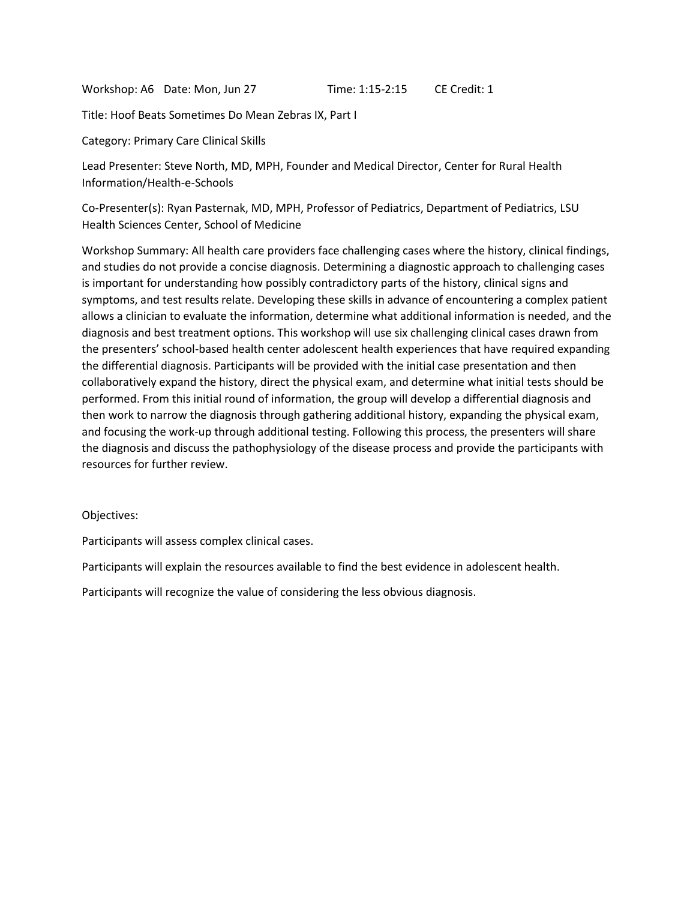Workshop: A6 Date: Mon, Jun 27 Time: 1:15-2:15 CE Credit: 1

Title: Hoof Beats Sometimes Do Mean Zebras IX, Part I

Category: Primary Care Clinical Skills

Lead Presenter: Steve North, MD, MPH, Founder and Medical Director, Center for Rural Health Information/Health-e-Schools

Co-Presenter(s): Ryan Pasternak, MD, MPH, Professor of Pediatrics, Department of Pediatrics, LSU Health Sciences Center, School of Medicine

Workshop Summary: All health care providers face challenging cases where the history, clinical findings, and studies do not provide a concise diagnosis. Determining a diagnostic approach to challenging cases is important for understanding how possibly contradictory parts of the history, clinical signs and symptoms, and test results relate. Developing these skills in advance of encountering a complex patient allows a clinician to evaluate the information, determine what additional information is needed, and the diagnosis and best treatment options. This workshop will use six challenging clinical cases drawn from the presenters' school-based health center adolescent health experiences that have required expanding the differential diagnosis. Participants will be provided with the initial case presentation and then collaboratively expand the history, direct the physical exam, and determine what initial tests should be performed. From this initial round of information, the group will develop a differential diagnosis and then work to narrow the diagnosis through gathering additional history, expanding the physical exam, and focusing the work-up through additional testing. Following this process, the presenters will share the diagnosis and discuss the pathophysiology of the disease process and provide the participants with resources for further review.

# Objectives:

Participants will assess complex clinical cases.

Participants will explain the resources available to find the best evidence in adolescent health.

Participants will recognize the value of considering the less obvious diagnosis.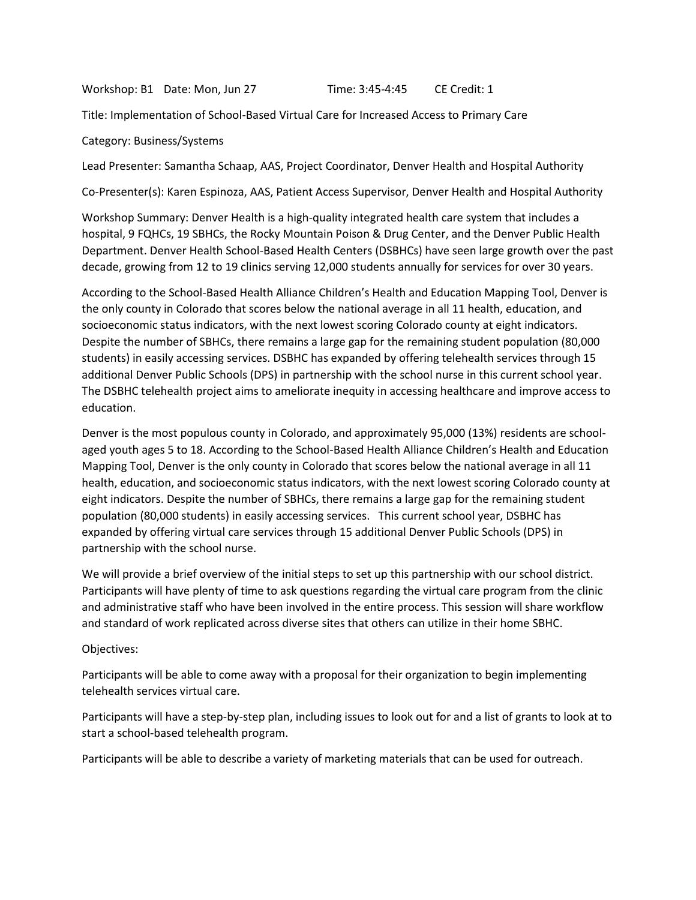Workshop: B1 Date: Mon, Jun 27 Time: 3:45-4:45 CE Credit: 1

Title: Implementation of School-Based Virtual Care for Increased Access to Primary Care

Category: Business/Systems

Lead Presenter: Samantha Schaap, AAS, Project Coordinator, Denver Health and Hospital Authority

Co-Presenter(s): Karen Espinoza, AAS, Patient Access Supervisor, Denver Health and Hospital Authority

Workshop Summary: Denver Health is a high-quality integrated health care system that includes a hospital, 9 FQHCs, 19 SBHCs, the Rocky Mountain Poison & Drug Center, and the Denver Public Health Department. Denver Health School-Based Health Centers (DSBHCs) have seen large growth over the past decade, growing from 12 to 19 clinics serving 12,000 students annually for services for over 30 years.

According to the School-Based Health Alliance Children's Health and Education Mapping Tool, Denver is the only county in Colorado that scores below the national average in all 11 health, education, and socioeconomic status indicators, with the next lowest scoring Colorado county at eight indicators. Despite the number of SBHCs, there remains a large gap for the remaining student population (80,000 students) in easily accessing services. DSBHC has expanded by offering telehealth services through 15 additional Denver Public Schools (DPS) in partnership with the school nurse in this current school year. The DSBHC telehealth project aims to ameliorate inequity in accessing healthcare and improve access to education.

Denver is the most populous county in Colorado, and approximately 95,000 (13%) residents are schoolaged youth ages 5 to 18. According to the School-Based Health Alliance Children's Health and Education Mapping Tool, Denver is the only county in Colorado that scores below the national average in all 11 health, education, and socioeconomic status indicators, with the next lowest scoring Colorado county at eight indicators. Despite the number of SBHCs, there remains a large gap for the remaining student population (80,000 students) in easily accessing services. This current school year, DSBHC has expanded by offering virtual care services through 15 additional Denver Public Schools (DPS) in partnership with the school nurse.

We will provide a brief overview of the initial steps to set up this partnership with our school district. Participants will have plenty of time to ask questions regarding the virtual care program from the clinic and administrative staff who have been involved in the entire process. This session will share workflow and standard of work replicated across diverse sites that others can utilize in their home SBHC.

Objectives:

Participants will be able to come away with a proposal for their organization to begin implementing telehealth services virtual care.

Participants will have a step-by-step plan, including issues to look out for and a list of grants to look at to start a school-based telehealth program.

Participants will be able to describe a variety of marketing materials that can be used for outreach.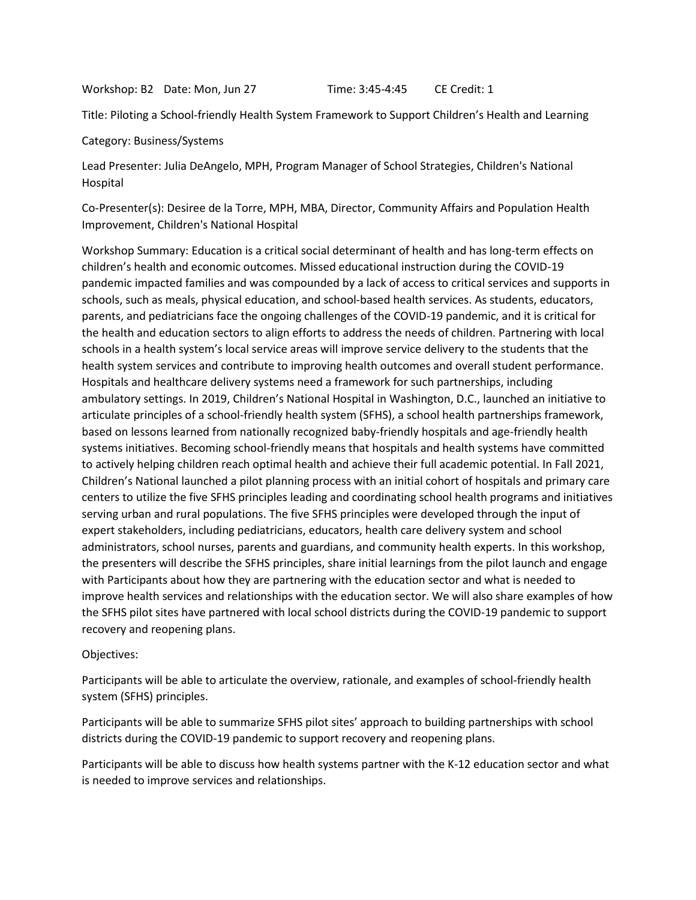Workshop: B2 Date: Mon, Jun 27 Time: 3:45-4:45 CE Credit: 1

Title: Piloting a School-friendly Health System Framework to Support Children's Health and Learning

Category: Business/Systems

Lead Presenter: Julia DeAngelo, MPH, Program Manager of School Strategies, Children's National Hospital

Co-Presenter(s): Desiree de la Torre, MPH, MBA, Director, Community Affairs and Population Health Improvement, Children's National Hospital

Workshop Summary: Education is a critical social determinant of health and has long-term effects on children's health and economic outcomes. Missed educational instruction during the COVID-19 pandemic impacted families and was compounded by a lack of access to critical services and supports in schools, such as meals, physical education, and school-based health services. As students, educators, parents, and pediatricians face the ongoing challenges of the COVID-19 pandemic, and it is critical for the health and education sectors to align efforts to address the needs of children. Partnering with local schools in a health system's local service areas will improve service delivery to the students that the health system services and contribute to improving health outcomes and overall student performance. Hospitals and healthcare delivery systems need a framework for such partnerships, including ambulatory settings. In 2019, Children's National Hospital in Washington, D.C., launched an initiative to articulate principles of a school-friendly health system (SFHS), a school health partnerships framework, based on lessons learned from nationally recognized baby-friendly hospitals and age-friendly health systems initiatives. Becoming school-friendly means that hospitals and health systems have committed to actively helping children reach optimal health and achieve their full academic potential. In Fall 2021, Children's National launched a pilot planning process with an initial cohort of hospitals and primary care centers to utilize the five SFHS principles leading and coordinating school health programs and initiatives serving urban and rural populations. The five SFHS principles were developed through the input of expert stakeholders, including pediatricians, educators, health care delivery system and school administrators, school nurses, parents and guardians, and community health experts. In this workshop, the presenters will describe the SFHS principles, share initial learnings from the pilot launch and engage with Participants about how they are partnering with the education sector and what is needed to improve health services and relationships with the education sector. We will also share examples of how the SFHS pilot sites have partnered with local school districts during the COVID-19 pandemic to support recovery and reopening plans.

#### Objectives:

Participants will be able to articulate the overview, rationale, and examples of school-friendly health system (SFHS) principles.

Participants will be able to summarize SFHS pilot sites' approach to building partnerships with school districts during the COVID-19 pandemic to support recovery and reopening plans.

Participants will be able to discuss how health systems partner with the K-12 education sector and what is needed to improve services and relationships.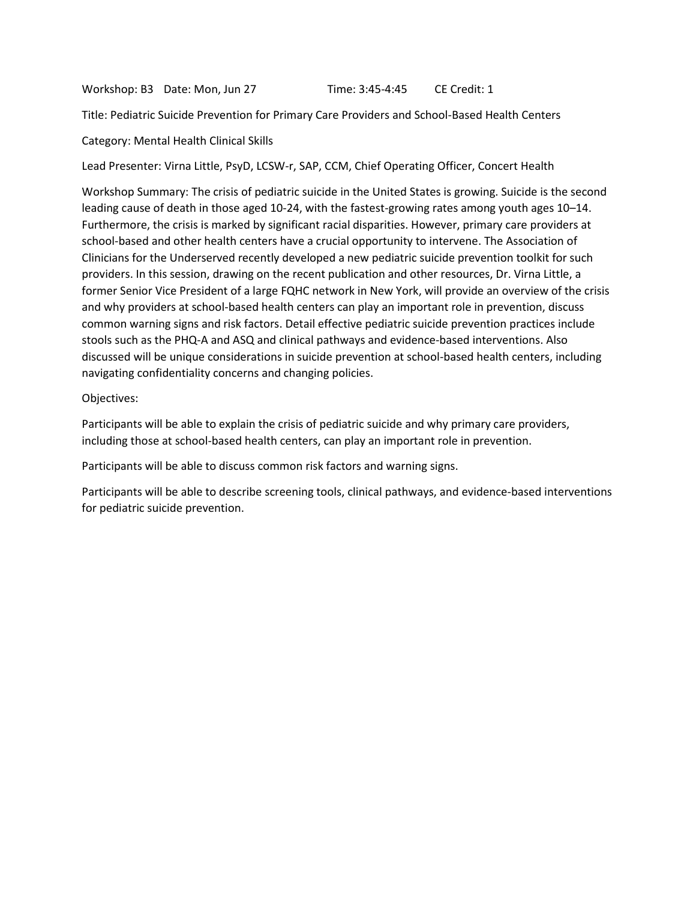Workshop: B3 Date: Mon, Jun 27 Time: 3:45-4:45 CE Credit: 1

Title: Pediatric Suicide Prevention for Primary Care Providers and School-Based Health Centers

Category: Mental Health Clinical Skills

Lead Presenter: Virna Little, PsyD, LCSW-r, SAP, CCM, Chief Operating Officer, Concert Health

Workshop Summary: The crisis of pediatric suicide in the United States is growing. Suicide is the second leading cause of death in those aged 10-24, with the fastest-growing rates among youth ages 10–14. Furthermore, the crisis is marked by significant racial disparities. However, primary care providers at school-based and other health centers have a crucial opportunity to intervene. The Association of Clinicians for the Underserved recently developed a new pediatric suicide prevention toolkit for such providers. In this session, drawing on the recent publication and other resources, Dr. Virna Little, a former Senior Vice President of a large FQHC network in New York, will provide an overview of the crisis and why providers at school-based health centers can play an important role in prevention, discuss common warning signs and risk factors. Detail effective pediatric suicide prevention practices include stools such as the PHQ-A and ASQ and clinical pathways and evidence-based interventions. Also discussed will be unique considerations in suicide prevention at school-based health centers, including navigating confidentiality concerns and changing policies.

Objectives:

Participants will be able to explain the crisis of pediatric suicide and why primary care providers, including those at school-based health centers, can play an important role in prevention.

Participants will be able to discuss common risk factors and warning signs.

Participants will be able to describe screening tools, clinical pathways, and evidence-based interventions for pediatric suicide prevention.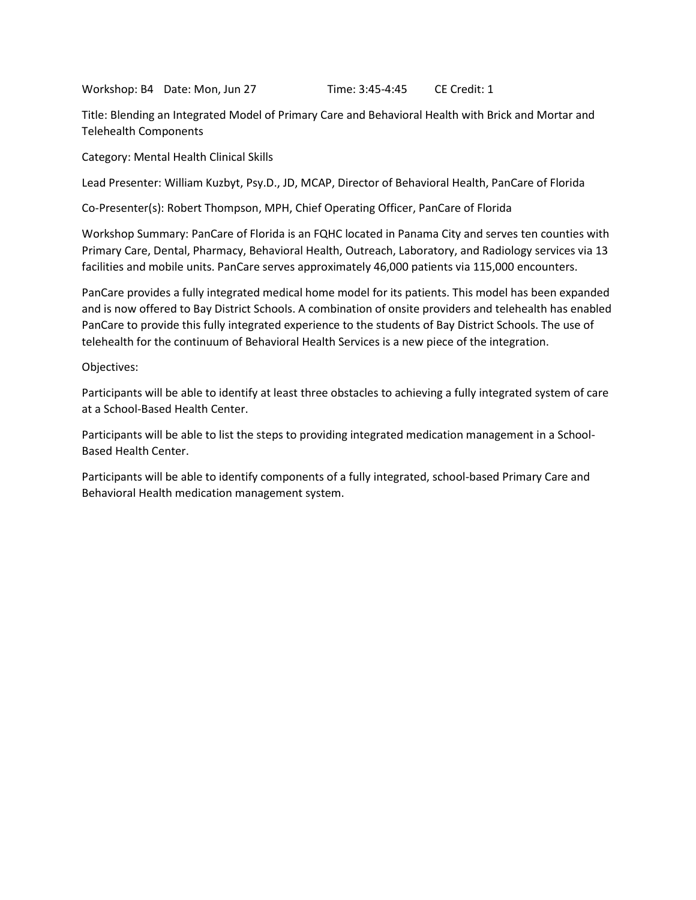Workshop: B4 Date: Mon, Jun 27 Time: 3:45-4:45 CE Credit: 1

Title: Blending an Integrated Model of Primary Care and Behavioral Health with Brick and Mortar and Telehealth Components

Category: Mental Health Clinical Skills

Lead Presenter: William Kuzbyt, Psy.D., JD, MCAP, Director of Behavioral Health, PanCare of Florida

Co-Presenter(s): Robert Thompson, MPH, Chief Operating Officer, PanCare of Florida

Workshop Summary: PanCare of Florida is an FQHC located in Panama City and serves ten counties with Primary Care, Dental, Pharmacy, Behavioral Health, Outreach, Laboratory, and Radiology services via 13 facilities and mobile units. PanCare serves approximately 46,000 patients via 115,000 encounters.

PanCare provides a fully integrated medical home model for its patients. This model has been expanded and is now offered to Bay District Schools. A combination of onsite providers and telehealth has enabled PanCare to provide this fully integrated experience to the students of Bay District Schools. The use of telehealth for the continuum of Behavioral Health Services is a new piece of the integration.

#### Objectives:

Participants will be able to identify at least three obstacles to achieving a fully integrated system of care at a School-Based Health Center.

Participants will be able to list the steps to providing integrated medication management in a School-Based Health Center.

Participants will be able to identify components of a fully integrated, school-based Primary Care and Behavioral Health medication management system.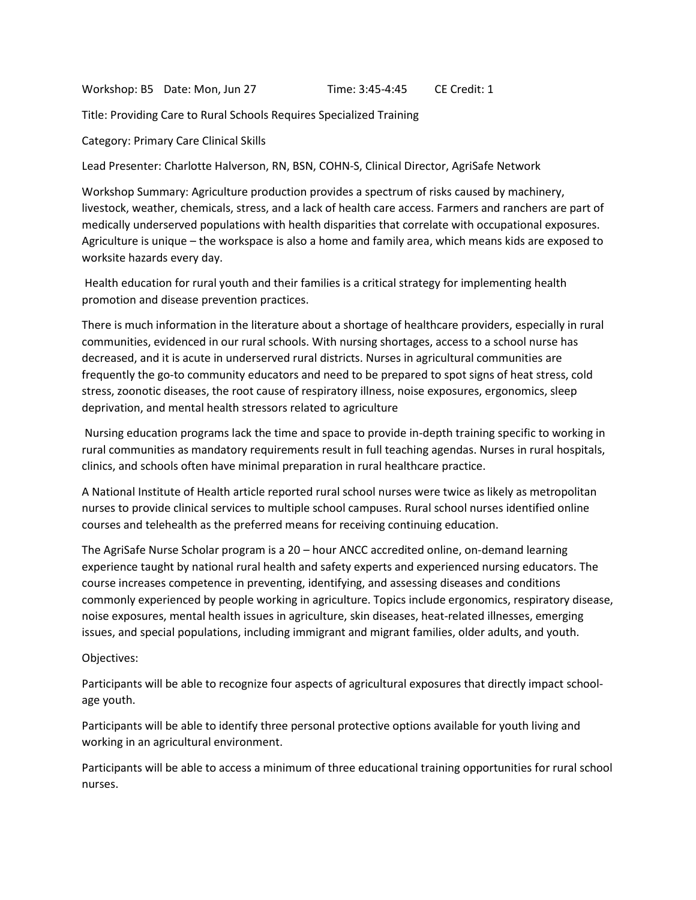Workshop: B5 Date: Mon, Jun 27 Time: 3:45-4:45 CE Credit: 1

Title: Providing Care to Rural Schools Requires Specialized Training

Category: Primary Care Clinical Skills

Lead Presenter: Charlotte Halverson, RN, BSN, COHN-S, Clinical Director, AgriSafe Network

Workshop Summary: Agriculture production provides a spectrum of risks caused by machinery, livestock, weather, chemicals, stress, and a lack of health care access. Farmers and ranchers are part of medically underserved populations with health disparities that correlate with occupational exposures. Agriculture is unique – the workspace is also a home and family area, which means kids are exposed to worksite hazards every day.

Health education for rural youth and their families is a critical strategy for implementing health promotion and disease prevention practices.

There is much information in the literature about a shortage of healthcare providers, especially in rural communities, evidenced in our rural schools. With nursing shortages, access to a school nurse has decreased, and it is acute in underserved rural districts. Nurses in agricultural communities are frequently the go-to community educators and need to be prepared to spot signs of heat stress, cold stress, zoonotic diseases, the root cause of respiratory illness, noise exposures, ergonomics, sleep deprivation, and mental health stressors related to agriculture

Nursing education programs lack the time and space to provide in-depth training specific to working in rural communities as mandatory requirements result in full teaching agendas. Nurses in rural hospitals, clinics, and schools often have minimal preparation in rural healthcare practice.

A National Institute of Health article reported rural school nurses were twice as likely as metropolitan nurses to provide clinical services to multiple school campuses. Rural school nurses identified online courses and telehealth as the preferred means for receiving continuing education.

The AgriSafe Nurse Scholar program is a 20 – hour ANCC accredited online, on-demand learning experience taught by national rural health and safety experts and experienced nursing educators. The course increases competence in preventing, identifying, and assessing diseases and conditions commonly experienced by people working in agriculture. Topics include ergonomics, respiratory disease, noise exposures, mental health issues in agriculture, skin diseases, heat-related illnesses, emerging issues, and special populations, including immigrant and migrant families, older adults, and youth.

# Objectives:

Participants will be able to recognize four aspects of agricultural exposures that directly impact schoolage youth.

Participants will be able to identify three personal protective options available for youth living and working in an agricultural environment.

Participants will be able to access a minimum of three educational training opportunities for rural school nurses.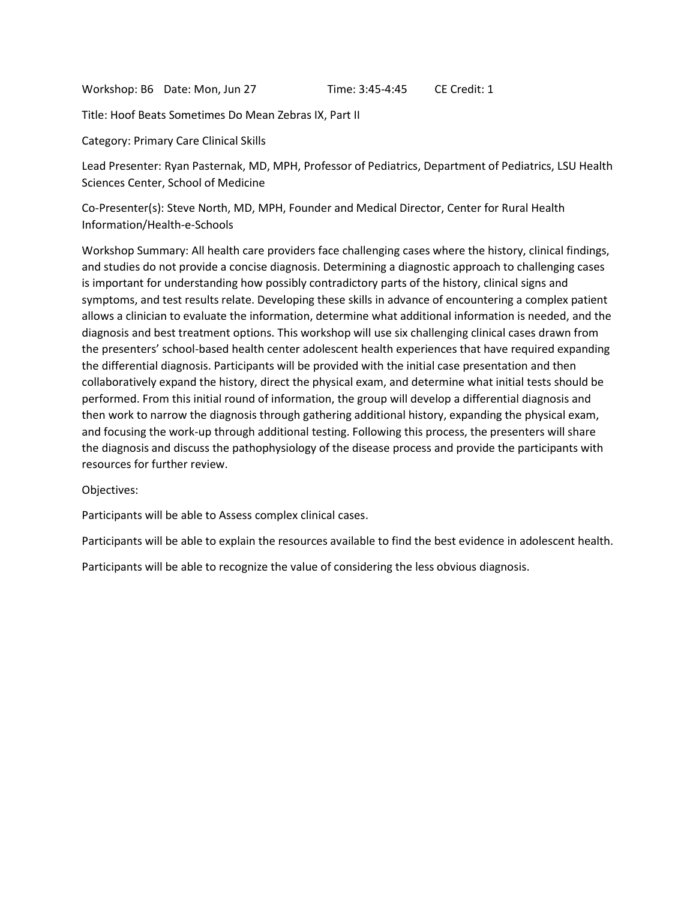Workshop: B6 Date: Mon, Jun 27 Time: 3:45-4:45 CE Credit: 1

Title: Hoof Beats Sometimes Do Mean Zebras IX, Part II

Category: Primary Care Clinical Skills

Lead Presenter: Ryan Pasternak, MD, MPH, Professor of Pediatrics, Department of Pediatrics, LSU Health Sciences Center, School of Medicine

Co-Presenter(s): Steve North, MD, MPH, Founder and Medical Director, Center for Rural Health Information/Health-e-Schools

Workshop Summary: All health care providers face challenging cases where the history, clinical findings, and studies do not provide a concise diagnosis. Determining a diagnostic approach to challenging cases is important for understanding how possibly contradictory parts of the history, clinical signs and symptoms, and test results relate. Developing these skills in advance of encountering a complex patient allows a clinician to evaluate the information, determine what additional information is needed, and the diagnosis and best treatment options. This workshop will use six challenging clinical cases drawn from the presenters' school-based health center adolescent health experiences that have required expanding the differential diagnosis. Participants will be provided with the initial case presentation and then collaboratively expand the history, direct the physical exam, and determine what initial tests should be performed. From this initial round of information, the group will develop a differential diagnosis and then work to narrow the diagnosis through gathering additional history, expanding the physical exam, and focusing the work-up through additional testing. Following this process, the presenters will share the diagnosis and discuss the pathophysiology of the disease process and provide the participants with resources for further review.

Objectives:

Participants will be able to Assess complex clinical cases.

Participants will be able to explain the resources available to find the best evidence in adolescent health.

Participants will be able to recognize the value of considering the less obvious diagnosis.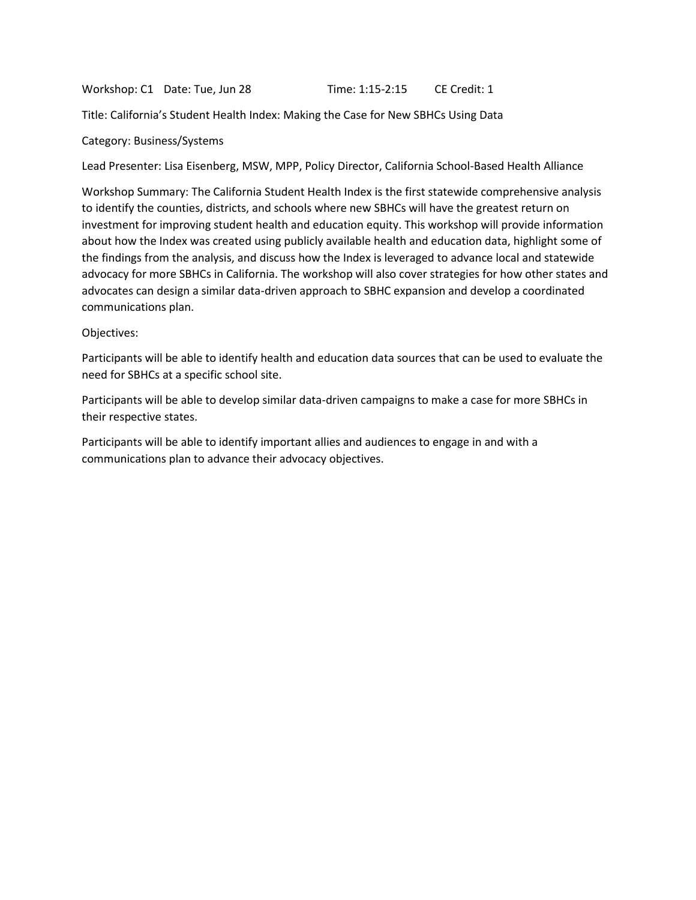Workshop: C1 Date: Tue, Jun 28 Time: 1:15-2:15 CE Credit: 1

Title: California's Student Health Index: Making the Case for New SBHCs Using Data

#### Category: Business/Systems

Lead Presenter: Lisa Eisenberg, MSW, MPP, Policy Director, California School-Based Health Alliance

Workshop Summary: The California Student Health Index is the first statewide comprehensive analysis to identify the counties, districts, and schools where new SBHCs will have the greatest return on investment for improving student health and education equity. This workshop will provide information about how the Index was created using publicly available health and education data, highlight some of the findings from the analysis, and discuss how the Index is leveraged to advance local and statewide advocacy for more SBHCs in California. The workshop will also cover strategies for how other states and advocates can design a similar data-driven approach to SBHC expansion and develop a coordinated communications plan.

#### Objectives:

Participants will be able to identify health and education data sources that can be used to evaluate the need for SBHCs at a specific school site.

Participants will be able to develop similar data-driven campaigns to make a case for more SBHCs in their respective states.

Participants will be able to identify important allies and audiences to engage in and with a communications plan to advance their advocacy objectives.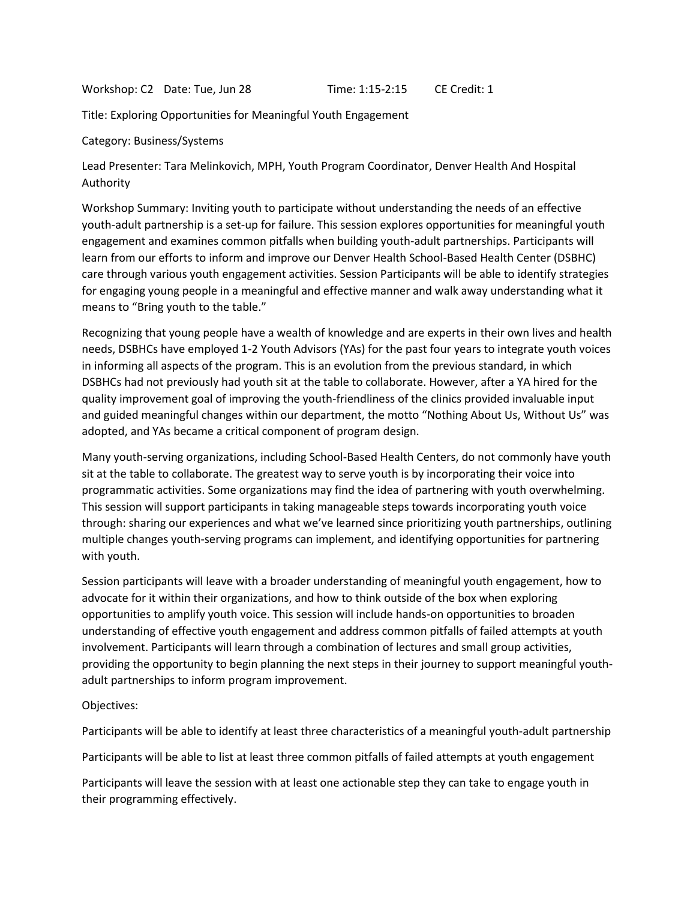Workshop: C2 Date: Tue, Jun 28 Time: 1:15-2:15 CE Credit: 1

Title: Exploring Opportunities for Meaningful Youth Engagement

Category: Business/Systems

Lead Presenter: Tara Melinkovich, MPH, Youth Program Coordinator, Denver Health And Hospital Authority

Workshop Summary: Inviting youth to participate without understanding the needs of an effective youth-adult partnership is a set-up for failure. This session explores opportunities for meaningful youth engagement and examines common pitfalls when building youth-adult partnerships. Participants will learn from our efforts to inform and improve our Denver Health School-Based Health Center (DSBHC) care through various youth engagement activities. Session Participants will be able to identify strategies for engaging young people in a meaningful and effective manner and walk away understanding what it means to "Bring youth to the table."

Recognizing that young people have a wealth of knowledge and are experts in their own lives and health needs, DSBHCs have employed 1-2 Youth Advisors (YAs) for the past four years to integrate youth voices in informing all aspects of the program. This is an evolution from the previous standard, in which DSBHCs had not previously had youth sit at the table to collaborate. However, after a YA hired for the quality improvement goal of improving the youth-friendliness of the clinics provided invaluable input and guided meaningful changes within our department, the motto "Nothing About Us, Without Us" was adopted, and YAs became a critical component of program design.

Many youth-serving organizations, including School-Based Health Centers, do not commonly have youth sit at the table to collaborate. The greatest way to serve youth is by incorporating their voice into programmatic activities. Some organizations may find the idea of partnering with youth overwhelming. This session will support participants in taking manageable steps towards incorporating youth voice through: sharing our experiences and what we've learned since prioritizing youth partnerships, outlining multiple changes youth-serving programs can implement, and identifying opportunities for partnering with youth.

Session participants will leave with a broader understanding of meaningful youth engagement, how to advocate for it within their organizations, and how to think outside of the box when exploring opportunities to amplify youth voice. This session will include hands-on opportunities to broaden understanding of effective youth engagement and address common pitfalls of failed attempts at youth involvement. Participants will learn through a combination of lectures and small group activities, providing the opportunity to begin planning the next steps in their journey to support meaningful youthadult partnerships to inform program improvement.

Objectives:

Participants will be able to identify at least three characteristics of a meaningful youth-adult partnership

Participants will be able to list at least three common pitfalls of failed attempts at youth engagement

Participants will leave the session with at least one actionable step they can take to engage youth in their programming effectively.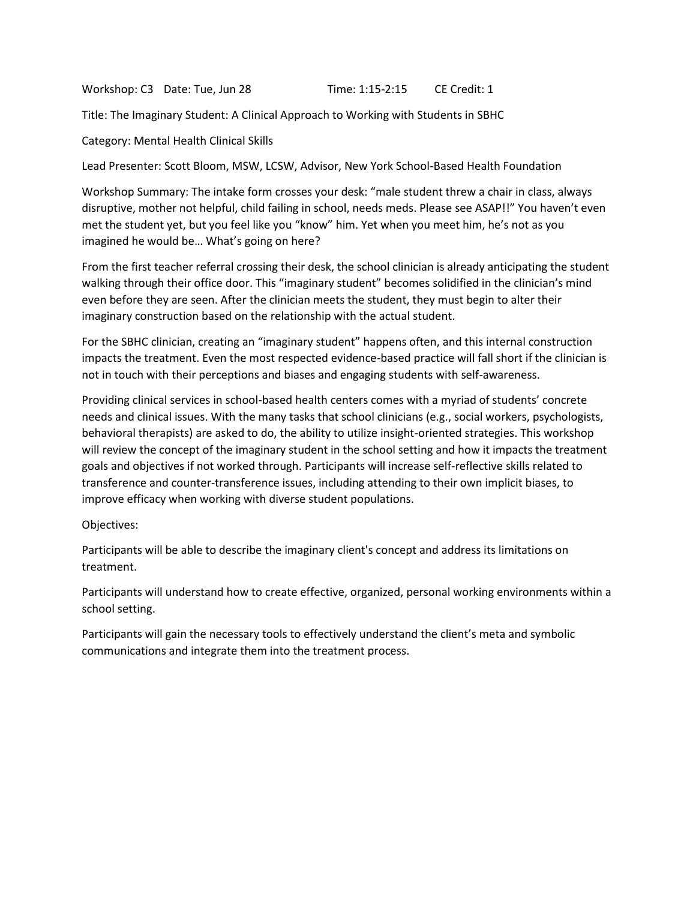Workshop: C3 Date: Tue, Jun 28 Time: 1:15-2:15 CE Credit: 1

Title: The Imaginary Student: A Clinical Approach to Working with Students in SBHC

Category: Mental Health Clinical Skills

Lead Presenter: Scott Bloom, MSW, LCSW, Advisor, New York School-Based Health Foundation

Workshop Summary: The intake form crosses your desk: "male student threw a chair in class, always disruptive, mother not helpful, child failing in school, needs meds. Please see ASAP!!" You haven't even met the student yet, but you feel like you "know" him. Yet when you meet him, he's not as you imagined he would be… What's going on here?

From the first teacher referral crossing their desk, the school clinician is already anticipating the student walking through their office door. This "imaginary student" becomes solidified in the clinician's mind even before they are seen. After the clinician meets the student, they must begin to alter their imaginary construction based on the relationship with the actual student.

For the SBHC clinician, creating an "imaginary student" happens often, and this internal construction impacts the treatment. Even the most respected evidence-based practice will fall short if the clinician is not in touch with their perceptions and biases and engaging students with self-awareness.

Providing clinical services in school-based health centers comes with a myriad of students' concrete needs and clinical issues. With the many tasks that school clinicians (e.g., social workers, psychologists, behavioral therapists) are asked to do, the ability to utilize insight-oriented strategies. This workshop will review the concept of the imaginary student in the school setting and how it impacts the treatment goals and objectives if not worked through. Participants will increase self-reflective skills related to transference and counter-transference issues, including attending to their own implicit biases, to improve efficacy when working with diverse student populations.

Objectives:

Participants will be able to describe the imaginary client's concept and address its limitations on treatment.

Participants will understand how to create effective, organized, personal working environments within a school setting.

Participants will gain the necessary tools to effectively understand the client's meta and symbolic communications and integrate them into the treatment process.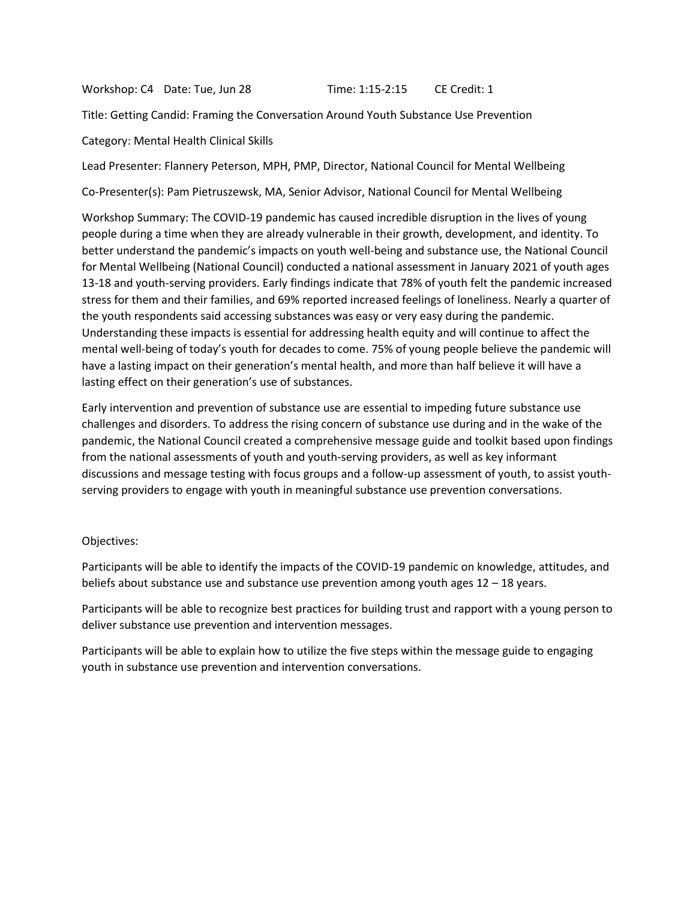Workshop: C4 Date: Tue, Jun 28 Time: 1:15-2:15 CE Credit: 1

Title: Getting Candid: Framing the Conversation Around Youth Substance Use Prevention

Category: Mental Health Clinical Skills

Lead Presenter: Flannery Peterson, MPH, PMP, Director, National Council for Mental Wellbeing

Co-Presenter(s): Pam Pietruszewsk, MA, Senior Advisor, National Council for Mental Wellbeing

Workshop Summary: The COVID-19 pandemic has caused incredible disruption in the lives of young people during a time when they are already vulnerable in their growth, development, and identity. To better understand the pandemic's impacts on youth well-being and substance use, the National Council for Mental Wellbeing (National Council) conducted a national assessment in January 2021 of youth ages 13-18 and youth-serving providers. Early findings indicate that 78% of youth felt the pandemic increased stress for them and their families, and 69% reported increased feelings of loneliness. Nearly a quarter of the youth respondents said accessing substances was easy or very easy during the pandemic. Understanding these impacts is essential for addressing health equity and will continue to affect the mental well-being of today's youth for decades to come. 75% of young people believe the pandemic will have a lasting impact on their generation's mental health, and more than half believe it will have a lasting effect on their generation's use of substances.

Early intervention and prevention of substance use are essential to impeding future substance use challenges and disorders. To address the rising concern of substance use during and in the wake of the pandemic, the National Council created a comprehensive message guide and toolkit based upon findings from the national assessments of youth and youth-serving providers, as well as key informant discussions and message testing with focus groups and a follow-up assessment of youth, to assist youthserving providers to engage with youth in meaningful substance use prevention conversations.

# Objectives:

Participants will be able to identify the impacts of the COVID-19 pandemic on knowledge, attitudes, and beliefs about substance use and substance use prevention among youth ages  $12 - 18$  years.

Participants will be able to recognize best practices for building trust and rapport with a young person to deliver substance use prevention and intervention messages.

Participants will be able to explain how to utilize the five steps within the message guide to engaging youth in substance use prevention and intervention conversations.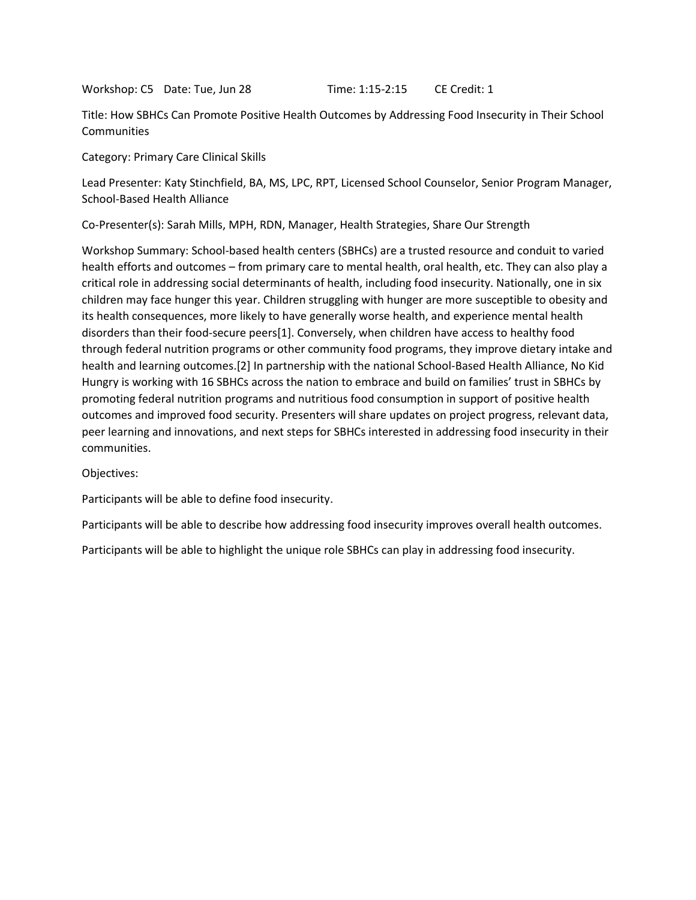Workshop: C5 Date: Tue, Jun 28 Time: 1:15-2:15 CE Credit: 1

Title: How SBHCs Can Promote Positive Health Outcomes by Addressing Food Insecurity in Their School **Communities** 

Category: Primary Care Clinical Skills

Lead Presenter: Katy Stinchfield, BA, MS, LPC, RPT, Licensed School Counselor, Senior Program Manager, School-Based Health Alliance

Co-Presenter(s): Sarah Mills, MPH, RDN, Manager, Health Strategies, Share Our Strength

Workshop Summary: School-based health centers (SBHCs) are a trusted resource and conduit to varied health efforts and outcomes – from primary care to mental health, oral health, etc. They can also play a critical role in addressing social determinants of health, including food insecurity. Nationally, one in six children may face hunger this year. Children struggling with hunger are more susceptible to obesity and its health consequences, more likely to have generally worse health, and experience mental health disorders than their food-secure peers[1]. Conversely, when children have access to healthy food through federal nutrition programs or other community food programs, they improve dietary intake and health and learning outcomes.[2] In partnership with the national School-Based Health Alliance, No Kid Hungry is working with 16 SBHCs across the nation to embrace and build on families' trust in SBHCs by promoting federal nutrition programs and nutritious food consumption in support of positive health outcomes and improved food security. Presenters will share updates on project progress, relevant data, peer learning and innovations, and next steps for SBHCs interested in addressing food insecurity in their communities.

Objectives:

Participants will be able to define food insecurity.

Participants will be able to describe how addressing food insecurity improves overall health outcomes.

Participants will be able to highlight the unique role SBHCs can play in addressing food insecurity.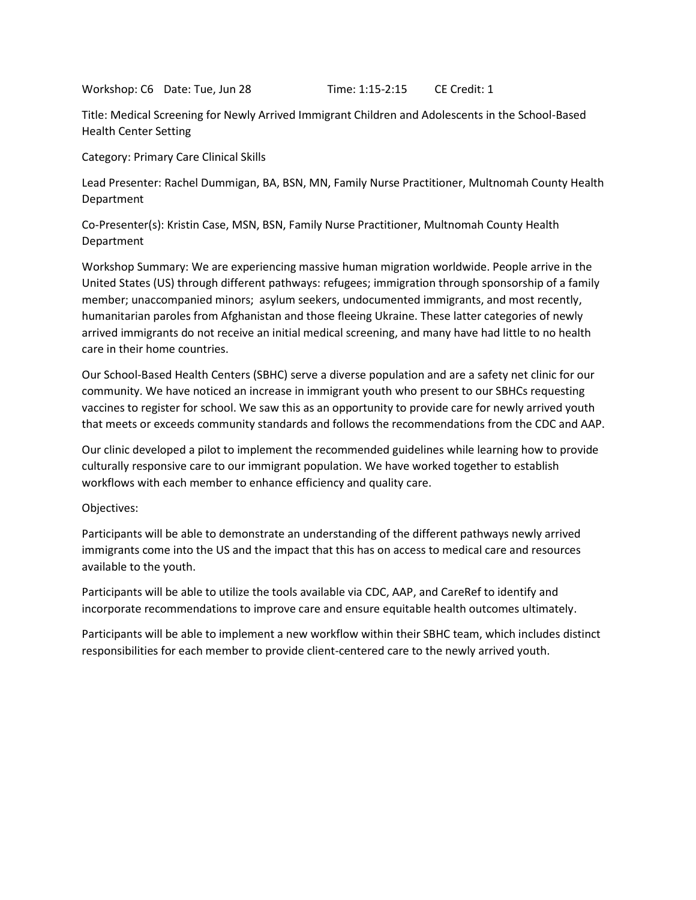Workshop: C6 Date: Tue, Jun 28 Time: 1:15-2:15 CE Credit: 1

Title: Medical Screening for Newly Arrived Immigrant Children and Adolescents in the School-Based Health Center Setting

Category: Primary Care Clinical Skills

Lead Presenter: Rachel Dummigan, BA, BSN, MN, Family Nurse Practitioner, Multnomah County Health Department

Co-Presenter(s): Kristin Case, MSN, BSN, Family Nurse Practitioner, Multnomah County Health Department

Workshop Summary: We are experiencing massive human migration worldwide. People arrive in the United States (US) through different pathways: refugees; immigration through sponsorship of a family member; unaccompanied minors; asylum seekers, undocumented immigrants, and most recently, humanitarian paroles from Afghanistan and those fleeing Ukraine. These latter categories of newly arrived immigrants do not receive an initial medical screening, and many have had little to no health care in their home countries.

Our School-Based Health Centers (SBHC) serve a diverse population and are a safety net clinic for our community. We have noticed an increase in immigrant youth who present to our SBHCs requesting vaccines to register for school. We saw this as an opportunity to provide care for newly arrived youth that meets or exceeds community standards and follows the recommendations from the CDC and AAP.

Our clinic developed a pilot to implement the recommended guidelines while learning how to provide culturally responsive care to our immigrant population. We have worked together to establish workflows with each member to enhance efficiency and quality care.

# Objectives:

Participants will be able to demonstrate an understanding of the different pathways newly arrived immigrants come into the US and the impact that this has on access to medical care and resources available to the youth.

Participants will be able to utilize the tools available via CDC, AAP, and CareRef to identify and incorporate recommendations to improve care and ensure equitable health outcomes ultimately.

Participants will be able to implement a new workflow within their SBHC team, which includes distinct responsibilities for each member to provide client-centered care to the newly arrived youth.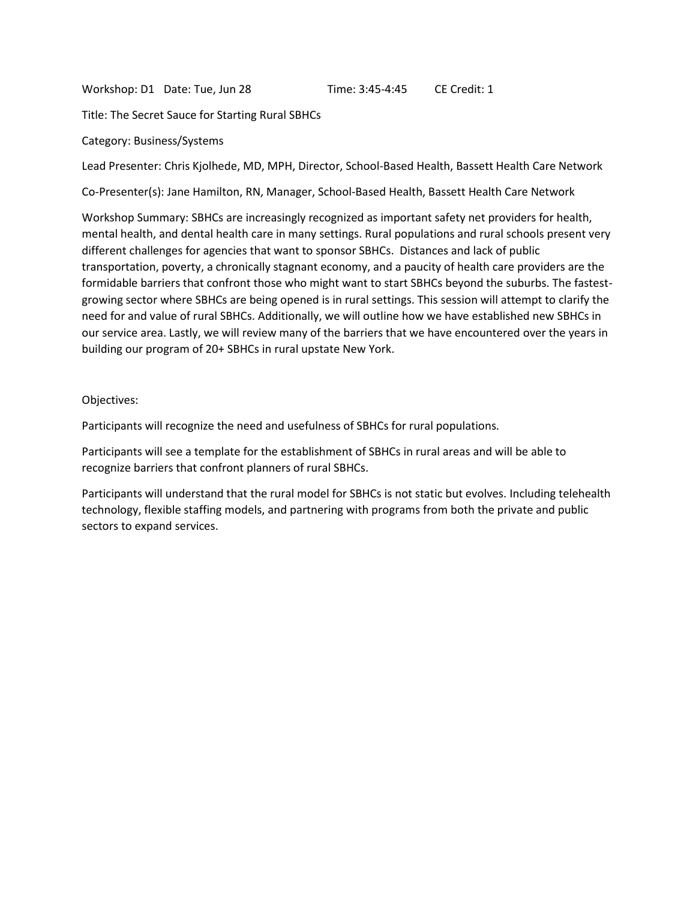Workshop: D1 Date: Tue, Jun 28 Time: 3:45-4:45 CE Credit: 1

Title: The Secret Sauce for Starting Rural SBHCs

#### Category: Business/Systems

Lead Presenter: Chris Kjolhede, MD, MPH, Director, School-Based Health, Bassett Health Care Network

Co-Presenter(s): Jane Hamilton, RN, Manager, School-Based Health, Bassett Health Care Network

Workshop Summary: SBHCs are increasingly recognized as important safety net providers for health, mental health, and dental health care in many settings. Rural populations and rural schools present very different challenges for agencies that want to sponsor SBHCs. Distances and lack of public transportation, poverty, a chronically stagnant economy, and a paucity of health care providers are the formidable barriers that confront those who might want to start SBHCs beyond the suburbs. The fastestgrowing sector where SBHCs are being opened is in rural settings. This session will attempt to clarify the need for and value of rural SBHCs. Additionally, we will outline how we have established new SBHCs in our service area. Lastly, we will review many of the barriers that we have encountered over the years in building our program of 20+ SBHCs in rural upstate New York.

# Objectives:

Participants will recognize the need and usefulness of SBHCs for rural populations.

Participants will see a template for the establishment of SBHCs in rural areas and will be able to recognize barriers that confront planners of rural SBHCs.

Participants will understand that the rural model for SBHCs is not static but evolves. Including telehealth technology, flexible staffing models, and partnering with programs from both the private and public sectors to expand services.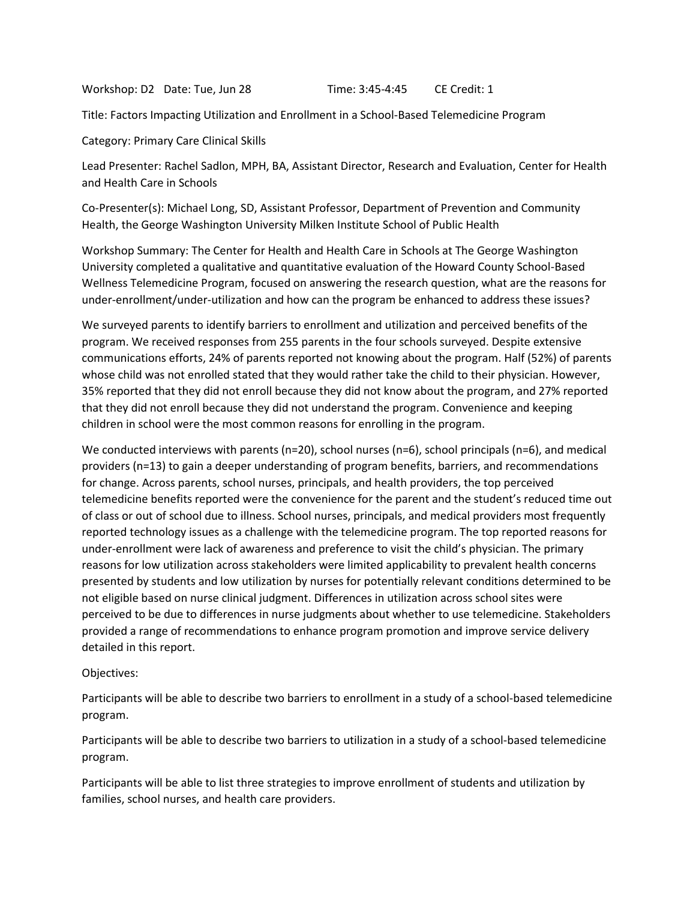Workshop: D2 Date: Tue, Jun 28 Time: 3:45-4:45 CE Credit: 1

Title: Factors Impacting Utilization and Enrollment in a School-Based Telemedicine Program

Category: Primary Care Clinical Skills

Lead Presenter: Rachel Sadlon, MPH, BA, Assistant Director, Research and Evaluation, Center for Health and Health Care in Schools

Co-Presenter(s): Michael Long, SD, Assistant Professor, Department of Prevention and Community Health, the George Washington University Milken Institute School of Public Health

Workshop Summary: The Center for Health and Health Care in Schools at The George Washington University completed a qualitative and quantitative evaluation of the Howard County School-Based Wellness Telemedicine Program, focused on answering the research question, what are the reasons for under-enrollment/under-utilization and how can the program be enhanced to address these issues?

We surveyed parents to identify barriers to enrollment and utilization and perceived benefits of the program. We received responses from 255 parents in the four schools surveyed. Despite extensive communications efforts, 24% of parents reported not knowing about the program. Half (52%) of parents whose child was not enrolled stated that they would rather take the child to their physician. However, 35% reported that they did not enroll because they did not know about the program, and 27% reported that they did not enroll because they did not understand the program. Convenience and keeping children in school were the most common reasons for enrolling in the program.

We conducted interviews with parents (n=20), school nurses (n=6), school principals (n=6), and medical providers (n=13) to gain a deeper understanding of program benefits, barriers, and recommendations for change. Across parents, school nurses, principals, and health providers, the top perceived telemedicine benefits reported were the convenience for the parent and the student's reduced time out of class or out of school due to illness. School nurses, principals, and medical providers most frequently reported technology issues as a challenge with the telemedicine program. The top reported reasons for under-enrollment were lack of awareness and preference to visit the child's physician. The primary reasons for low utilization across stakeholders were limited applicability to prevalent health concerns presented by students and low utilization by nurses for potentially relevant conditions determined to be not eligible based on nurse clinical judgment. Differences in utilization across school sites were perceived to be due to differences in nurse judgments about whether to use telemedicine. Stakeholders provided a range of recommendations to enhance program promotion and improve service delivery detailed in this report.

Objectives:

Participants will be able to describe two barriers to enrollment in a study of a school-based telemedicine program.

Participants will be able to describe two barriers to utilization in a study of a school-based telemedicine program.

Participants will be able to list three strategies to improve enrollment of students and utilization by families, school nurses, and health care providers.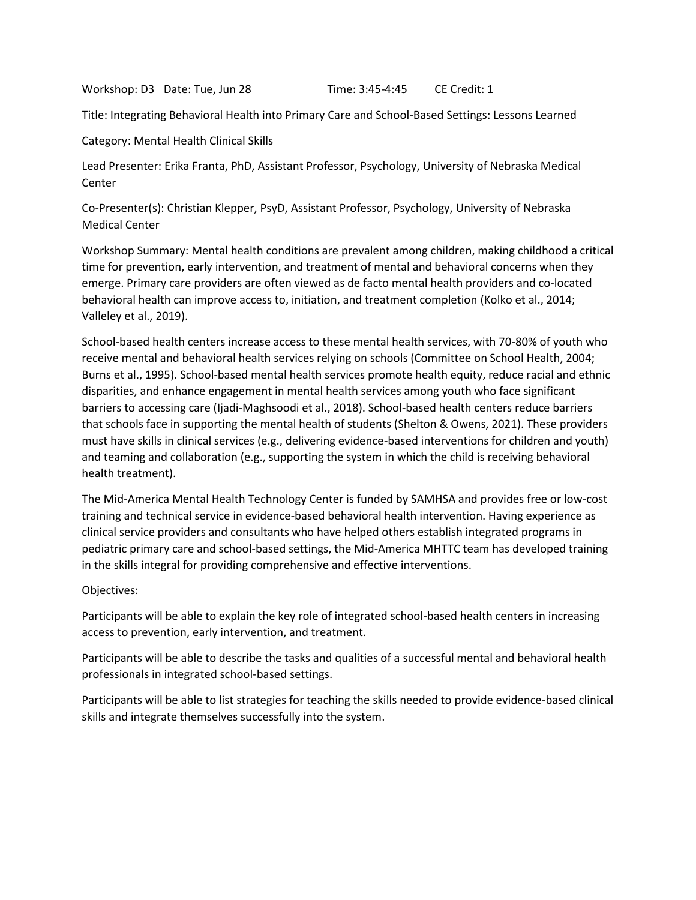Workshop: D3 Date: Tue, Jun 28 Time: 3:45-4:45 CE Credit: 1

Title: Integrating Behavioral Health into Primary Care and School-Based Settings: Lessons Learned

Category: Mental Health Clinical Skills

Lead Presenter: Erika Franta, PhD, Assistant Professor, Psychology, University of Nebraska Medical Center

Co-Presenter(s): Christian Klepper, PsyD, Assistant Professor, Psychology, University of Nebraska Medical Center

Workshop Summary: Mental health conditions are prevalent among children, making childhood a critical time for prevention, early intervention, and treatment of mental and behavioral concerns when they emerge. Primary care providers are often viewed as de facto mental health providers and co-located behavioral health can improve access to, initiation, and treatment completion (Kolko et al., 2014; Valleley et al., 2019).

School-based health centers increase access to these mental health services, with 70-80% of youth who receive mental and behavioral health services relying on schools (Committee on School Health, 2004; Burns et al., 1995). School-based mental health services promote health equity, reduce racial and ethnic disparities, and enhance engagement in mental health services among youth who face significant barriers to accessing care (Ijadi-Maghsoodi et al., 2018). School-based health centers reduce barriers that schools face in supporting the mental health of students (Shelton & Owens, 2021). These providers must have skills in clinical services (e.g., delivering evidence-based interventions for children and youth) and teaming and collaboration (e.g., supporting the system in which the child is receiving behavioral health treatment).

The Mid-America Mental Health Technology Center is funded by SAMHSA and provides free or low-cost training and technical service in evidence-based behavioral health intervention. Having experience as clinical service providers and consultants who have helped others establish integrated programs in pediatric primary care and school-based settings, the Mid-America MHTTC team has developed training in the skills integral for providing comprehensive and effective interventions.

# Objectives:

Participants will be able to explain the key role of integrated school-based health centers in increasing access to prevention, early intervention, and treatment.

Participants will be able to describe the tasks and qualities of a successful mental and behavioral health professionals in integrated school-based settings.

Participants will be able to list strategies for teaching the skills needed to provide evidence-based clinical skills and integrate themselves successfully into the system.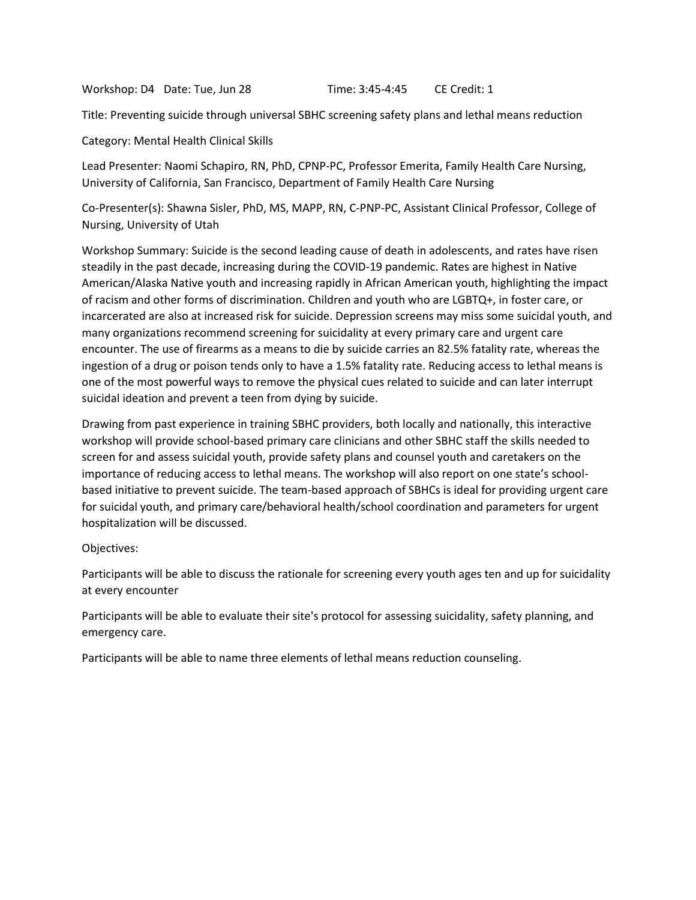Workshop: D4 Date: Tue, Jun 28 Time: 3:45-4:45 CE Credit: 1

Title: Preventing suicide through universal SBHC screening safety plans and lethal means reduction

Category: Mental Health Clinical Skills

Lead Presenter: Naomi Schapiro, RN, PhD, CPNP-PC, Professor Emerita, Family Health Care Nursing, University of California, San Francisco, Department of Family Health Care Nursing

Co-Presenter(s): Shawna Sisler, PhD, MS, MAPP, RN, C-PNP-PC, Assistant Clinical Professor, College of Nursing, University of Utah

Workshop Summary: Suicide is the second leading cause of death in adolescents, and rates have risen steadily in the past decade, increasing during the COVID-19 pandemic. Rates are highest in Native American/Alaska Native youth and increasing rapidly in African American youth, highlighting the impact of racism and other forms of discrimination. Children and youth who are LGBTQ+, in foster care, or incarcerated are also at increased risk for suicide. Depression screens may miss some suicidal youth, and many organizations recommend screening for suicidality at every primary care and urgent care encounter. The use of firearms as a means to die by suicide carries an 82.5% fatality rate, whereas the ingestion of a drug or poison tends only to have a 1.5% fatality rate. Reducing access to lethal means is one of the most powerful ways to remove the physical cues related to suicide and can later interrupt suicidal ideation and prevent a teen from dying by suicide.

Drawing from past experience in training SBHC providers, both locally and nationally, this interactive workshop will provide school-based primary care clinicians and other SBHC staff the skills needed to screen for and assess suicidal youth, provide safety plans and counsel youth and caretakers on the importance of reducing access to lethal means. The workshop will also report on one state's schoolbased initiative to prevent suicide. The team-based approach of SBHCs is ideal for providing urgent care for suicidal youth, and primary care/behavioral health/school coordination and parameters for urgent hospitalization will be discussed.

Objectives:

Participants will be able to discuss the rationale for screening every youth ages ten and up for suicidality at every encounter

Participants will be able to evaluate their site's protocol for assessing suicidality, safety planning, and emergency care.

Participants will be able to name three elements of lethal means reduction counseling.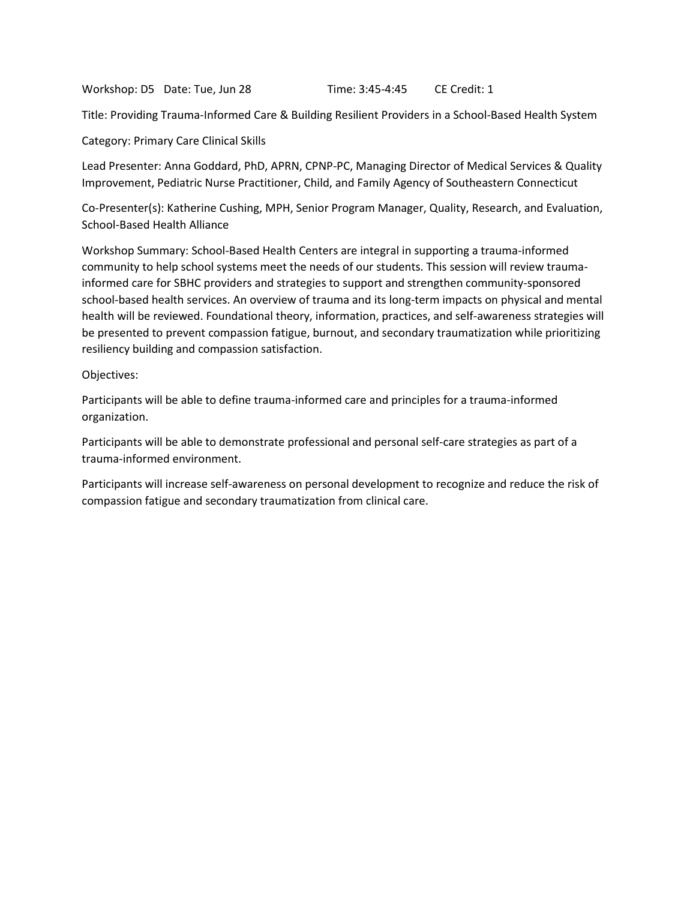Workshop: D5 Date: Tue, Jun 28 Time: 3:45-4:45 CE Credit: 1

Title: Providing Trauma-Informed Care & Building Resilient Providers in a School-Based Health System

Category: Primary Care Clinical Skills

Lead Presenter: Anna Goddard, PhD, APRN, CPNP-PC, Managing Director of Medical Services & Quality Improvement, Pediatric Nurse Practitioner, Child, and Family Agency of Southeastern Connecticut

Co-Presenter(s): Katherine Cushing, MPH, Senior Program Manager, Quality, Research, and Evaluation, School-Based Health Alliance

Workshop Summary: School-Based Health Centers are integral in supporting a trauma-informed community to help school systems meet the needs of our students. This session will review traumainformed care for SBHC providers and strategies to support and strengthen community-sponsored school-based health services. An overview of trauma and its long-term impacts on physical and mental health will be reviewed. Foundational theory, information, practices, and self-awareness strategies will be presented to prevent compassion fatigue, burnout, and secondary traumatization while prioritizing resiliency building and compassion satisfaction.

Objectives:

Participants will be able to define trauma-informed care and principles for a trauma-informed organization.

Participants will be able to demonstrate professional and personal self-care strategies as part of a trauma-informed environment.

Participants will increase self-awareness on personal development to recognize and reduce the risk of compassion fatigue and secondary traumatization from clinical care.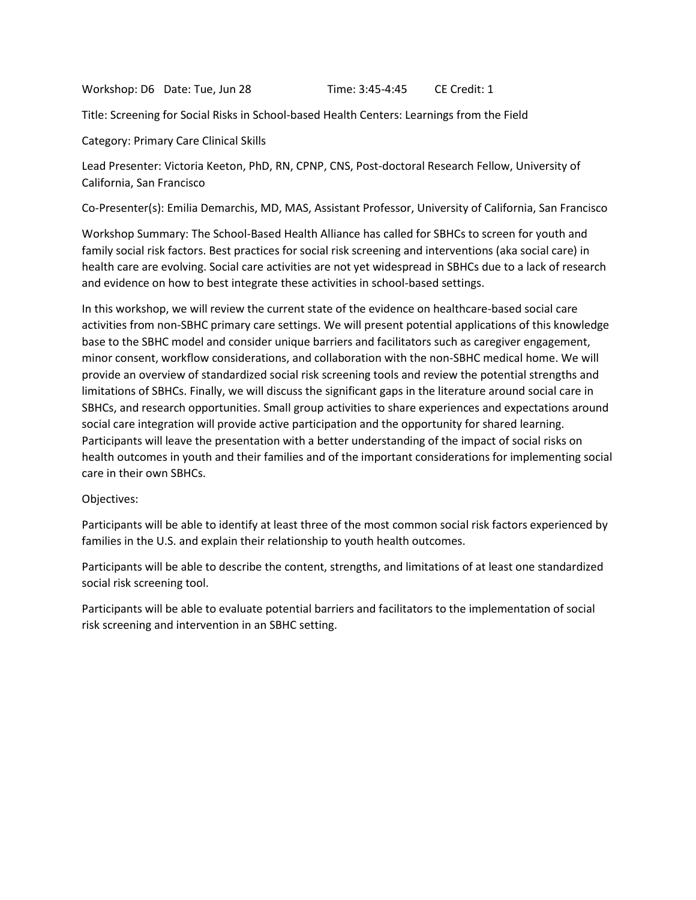Workshop: D6 Date: Tue, Jun 28 Time: 3:45-4:45 CE Credit: 1

Title: Screening for Social Risks in School-based Health Centers: Learnings from the Field

Category: Primary Care Clinical Skills

Lead Presenter: Victoria Keeton, PhD, RN, CPNP, CNS, Post-doctoral Research Fellow, University of California, San Francisco

Co-Presenter(s): Emilia Demarchis, MD, MAS, Assistant Professor, University of California, San Francisco

Workshop Summary: The School-Based Health Alliance has called for SBHCs to screen for youth and family social risk factors. Best practices for social risk screening and interventions (aka social care) in health care are evolving. Social care activities are not yet widespread in SBHCs due to a lack of research and evidence on how to best integrate these activities in school-based settings.

In this workshop, we will review the current state of the evidence on healthcare-based social care activities from non-SBHC primary care settings. We will present potential applications of this knowledge base to the SBHC model and consider unique barriers and facilitators such as caregiver engagement, minor consent, workflow considerations, and collaboration with the non-SBHC medical home. We will provide an overview of standardized social risk screening tools and review the potential strengths and limitations of SBHCs. Finally, we will discuss the significant gaps in the literature around social care in SBHCs, and research opportunities. Small group activities to share experiences and expectations around social care integration will provide active participation and the opportunity for shared learning. Participants will leave the presentation with a better understanding of the impact of social risks on health outcomes in youth and their families and of the important considerations for implementing social care in their own SBHCs.

# Objectives:

Participants will be able to identify at least three of the most common social risk factors experienced by families in the U.S. and explain their relationship to youth health outcomes.

Participants will be able to describe the content, strengths, and limitations of at least one standardized social risk screening tool.

Participants will be able to evaluate potential barriers and facilitators to the implementation of social risk screening and intervention in an SBHC setting.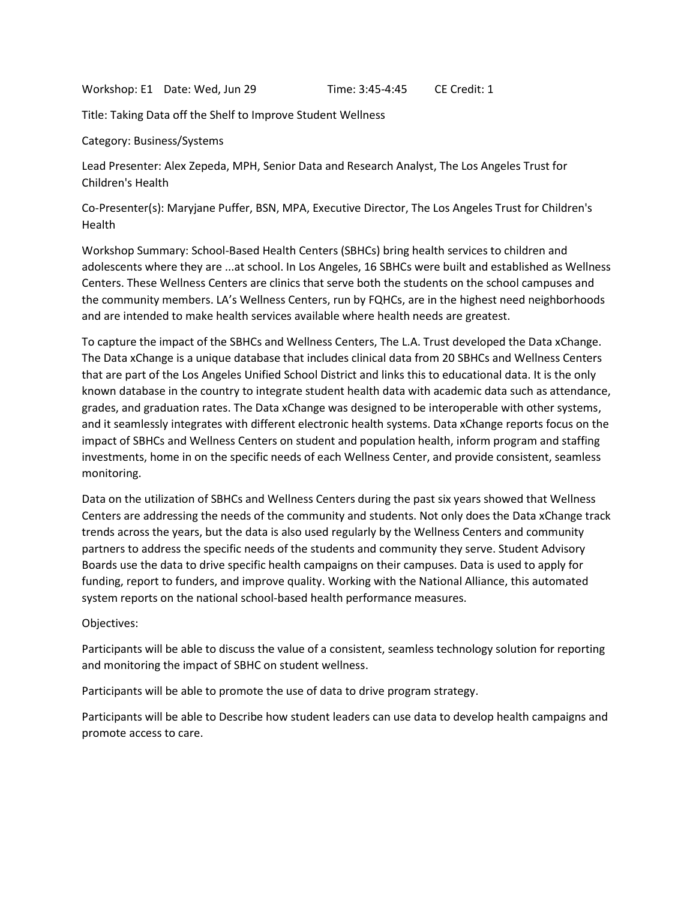Workshop: E1 Date: Wed, Jun 29 Time: 3:45-4:45 CE Credit: 1

Title: Taking Data off the Shelf to Improve Student Wellness

Category: Business/Systems

Lead Presenter: Alex Zepeda, MPH, Senior Data and Research Analyst, The Los Angeles Trust for Children's Health

Co-Presenter(s): Maryjane Puffer, BSN, MPA, Executive Director, The Los Angeles Trust for Children's Health

Workshop Summary: School-Based Health Centers (SBHCs) bring health services to children and adolescents where they are ...at school. In Los Angeles, 16 SBHCs were built and established as Wellness Centers. These Wellness Centers are clinics that serve both the students on the school campuses and the community members. LA's Wellness Centers, run by FQHCs, are in the highest need neighborhoods and are intended to make health services available where health needs are greatest.

To capture the impact of the SBHCs and Wellness Centers, The L.A. Trust developed the Data xChange. The Data xChange is a unique database that includes clinical data from 20 SBHCs and Wellness Centers that are part of the Los Angeles Unified School District and links this to educational data. It is the only known database in the country to integrate student health data with academic data such as attendance, grades, and graduation rates. The Data xChange was designed to be interoperable with other systems, and it seamlessly integrates with different electronic health systems. Data xChange reports focus on the impact of SBHCs and Wellness Centers on student and population health, inform program and staffing investments, home in on the specific needs of each Wellness Center, and provide consistent, seamless monitoring.

Data on the utilization of SBHCs and Wellness Centers during the past six years showed that Wellness Centers are addressing the needs of the community and students. Not only does the Data xChange track trends across the years, but the data is also used regularly by the Wellness Centers and community partners to address the specific needs of the students and community they serve. Student Advisory Boards use the data to drive specific health campaigns on their campuses. Data is used to apply for funding, report to funders, and improve quality. Working with the National Alliance, this automated system reports on the national school-based health performance measures.

Objectives:

Participants will be able to discuss the value of a consistent, seamless technology solution for reporting and monitoring the impact of SBHC on student wellness.

Participants will be able to promote the use of data to drive program strategy.

Participants will be able to Describe how student leaders can use data to develop health campaigns and promote access to care.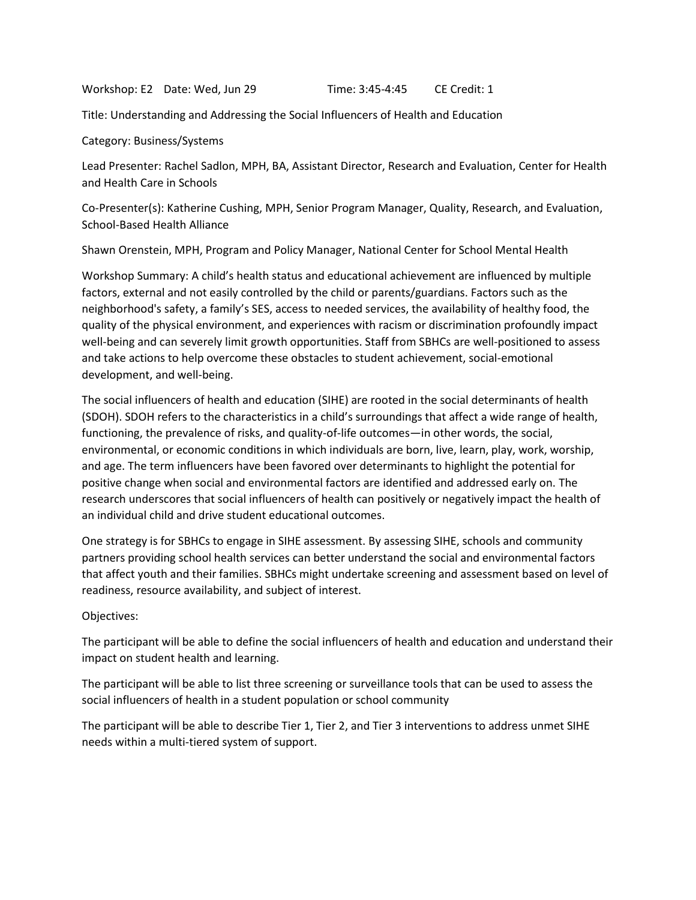Workshop: E2 Date: Wed, Jun 29 Time: 3:45-4:45 CE Credit: 1

Title: Understanding and Addressing the Social Influencers of Health and Education

Category: Business/Systems

Lead Presenter: Rachel Sadlon, MPH, BA, Assistant Director, Research and Evaluation, Center for Health and Health Care in Schools

Co-Presenter(s): Katherine Cushing, MPH, Senior Program Manager, Quality, Research, and Evaluation, School-Based Health Alliance

Shawn Orenstein, MPH, Program and Policy Manager, National Center for School Mental Health

Workshop Summary: A child's health status and educational achievement are influenced by multiple factors, external and not easily controlled by the child or parents/guardians. Factors such as the neighborhood's safety, a family's SES, access to needed services, the availability of healthy food, the quality of the physical environment, and experiences with racism or discrimination profoundly impact well-being and can severely limit growth opportunities. Staff from SBHCs are well-positioned to assess and take actions to help overcome these obstacles to student achievement, social-emotional development, and well-being.

The social influencers of health and education (SIHE) are rooted in the social determinants of health (SDOH). SDOH refers to the characteristics in a child's surroundings that affect a wide range of health, functioning, the prevalence of risks, and quality-of-life outcomes—in other words, the social, environmental, or economic conditions in which individuals are born, live, learn, play, work, worship, and age. The term influencers have been favored over determinants to highlight the potential for positive change when social and environmental factors are identified and addressed early on. The research underscores that social influencers of health can positively or negatively impact the health of an individual child and drive student educational outcomes.

One strategy is for SBHCs to engage in SIHE assessment. By assessing SIHE, schools and community partners providing school health services can better understand the social and environmental factors that affect youth and their families. SBHCs might undertake screening and assessment based on level of readiness, resource availability, and subject of interest.

#### Objectives:

The participant will be able to define the social influencers of health and education and understand their impact on student health and learning.

The participant will be able to list three screening or surveillance tools that can be used to assess the social influencers of health in a student population or school community

The participant will be able to describe Tier 1, Tier 2, and Tier 3 interventions to address unmet SIHE needs within a multi-tiered system of support.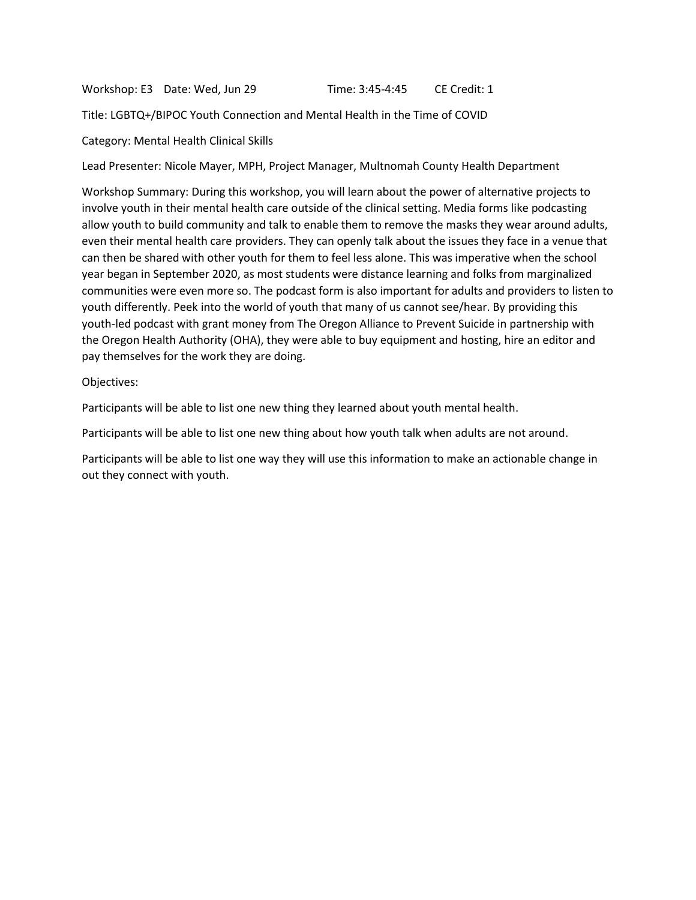Workshop: E3 Date: Wed, Jun 29 Time: 3:45-4:45 CE Credit: 1

Title: LGBTQ+/BIPOC Youth Connection and Mental Health in the Time of COVID

Category: Mental Health Clinical Skills

Lead Presenter: Nicole Mayer, MPH, Project Manager, Multnomah County Health Department

Workshop Summary: During this workshop, you will learn about the power of alternative projects to involve youth in their mental health care outside of the clinical setting. Media forms like podcasting allow youth to build community and talk to enable them to remove the masks they wear around adults, even their mental health care providers. They can openly talk about the issues they face in a venue that can then be shared with other youth for them to feel less alone. This was imperative when the school year began in September 2020, as most students were distance learning and folks from marginalized communities were even more so. The podcast form is also important for adults and providers to listen to youth differently. Peek into the world of youth that many of us cannot see/hear. By providing this youth-led podcast with grant money from The Oregon Alliance to Prevent Suicide in partnership with the Oregon Health Authority (OHA), they were able to buy equipment and hosting, hire an editor and pay themselves for the work they are doing.

#### Objectives:

Participants will be able to list one new thing they learned about youth mental health.

Participants will be able to list one new thing about how youth talk when adults are not around.

Participants will be able to list one way they will use this information to make an actionable change in out they connect with youth.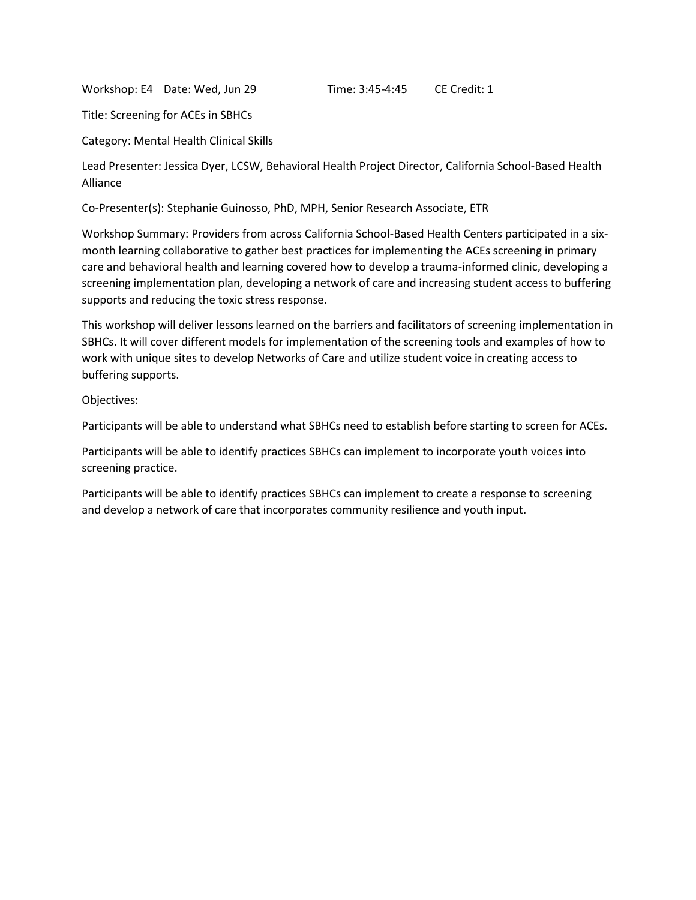Workshop: E4 Date: Wed, Jun 29 Time: 3:45-4:45 CE Credit: 1

Title: Screening for ACEs in SBHCs

Category: Mental Health Clinical Skills

Lead Presenter: Jessica Dyer, LCSW, Behavioral Health Project Director, California School-Based Health Alliance

Co-Presenter(s): Stephanie Guinosso, PhD, MPH, Senior Research Associate, ETR

Workshop Summary: Providers from across California School-Based Health Centers participated in a sixmonth learning collaborative to gather best practices for implementing the ACEs screening in primary care and behavioral health and learning covered how to develop a trauma-informed clinic, developing a screening implementation plan, developing a network of care and increasing student access to buffering supports and reducing the toxic stress response.

This workshop will deliver lessons learned on the barriers and facilitators of screening implementation in SBHCs. It will cover different models for implementation of the screening tools and examples of how to work with unique sites to develop Networks of Care and utilize student voice in creating access to buffering supports.

Objectives:

Participants will be able to understand what SBHCs need to establish before starting to screen for ACEs.

Participants will be able to identify practices SBHCs can implement to incorporate youth voices into screening practice.

Participants will be able to identify practices SBHCs can implement to create a response to screening and develop a network of care that incorporates community resilience and youth input.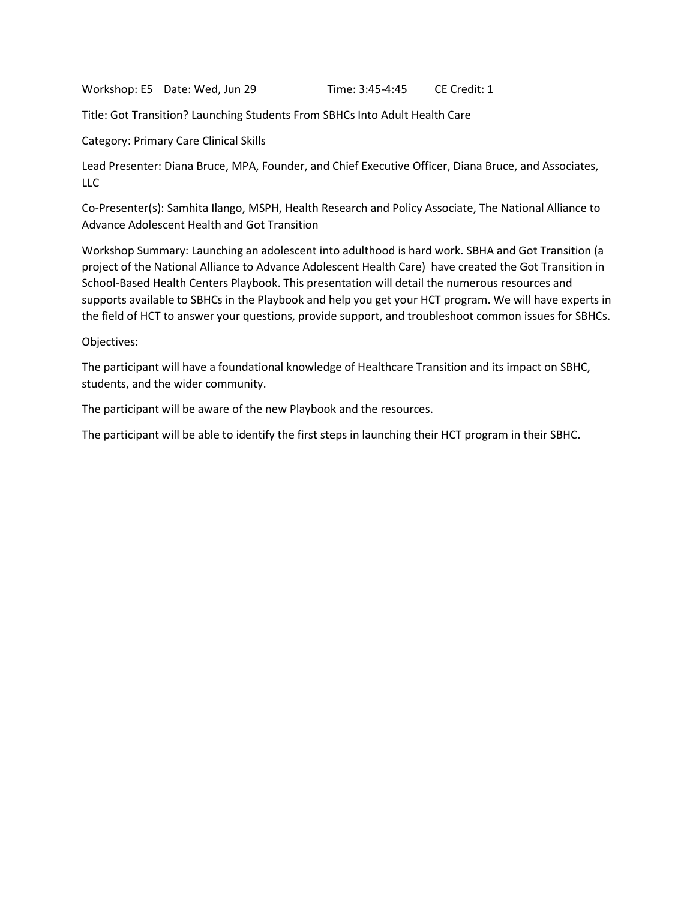Workshop: E5 Date: Wed, Jun 29 Time: 3:45-4:45 CE Credit: 1

Title: Got Transition? Launching Students From SBHCs Into Adult Health Care

Category: Primary Care Clinical Skills

Lead Presenter: Diana Bruce, MPA, Founder, and Chief Executive Officer, Diana Bruce, and Associates, LLC

Co-Presenter(s): Samhita Ilango, MSPH, Health Research and Policy Associate, The National Alliance to Advance Adolescent Health and Got Transition

Workshop Summary: Launching an adolescent into adulthood is hard work. SBHA and Got Transition (a project of the National Alliance to Advance Adolescent Health Care) have created the Got Transition in School-Based Health Centers Playbook. This presentation will detail the numerous resources and supports available to SBHCs in the Playbook and help you get your HCT program. We will have experts in the field of HCT to answer your questions, provide support, and troubleshoot common issues for SBHCs.

Objectives:

The participant will have a foundational knowledge of Healthcare Transition and its impact on SBHC, students, and the wider community.

The participant will be aware of the new Playbook and the resources.

The participant will be able to identify the first steps in launching their HCT program in their SBHC.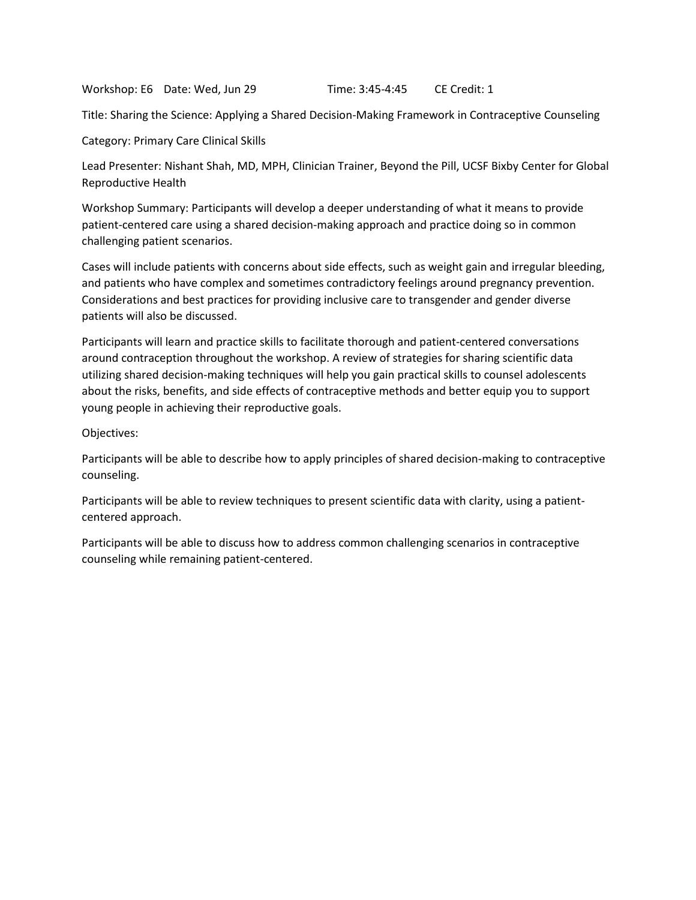Workshop: E6 Date: Wed, Jun 29 Time: 3:45-4:45 CE Credit: 1

Title: Sharing the Science: Applying a Shared Decision-Making Framework in Contraceptive Counseling

Category: Primary Care Clinical Skills

Lead Presenter: Nishant Shah, MD, MPH, Clinician Trainer, Beyond the Pill, UCSF Bixby Center for Global Reproductive Health

Workshop Summary: Participants will develop a deeper understanding of what it means to provide patient-centered care using a shared decision-making approach and practice doing so in common challenging patient scenarios.

Cases will include patients with concerns about side effects, such as weight gain and irregular bleeding, and patients who have complex and sometimes contradictory feelings around pregnancy prevention. Considerations and best practices for providing inclusive care to transgender and gender diverse patients will also be discussed.

Participants will learn and practice skills to facilitate thorough and patient-centered conversations around contraception throughout the workshop. A review of strategies for sharing scientific data utilizing shared decision-making techniques will help you gain practical skills to counsel adolescents about the risks, benefits, and side effects of contraceptive methods and better equip you to support young people in achieving their reproductive goals.

Objectives:

Participants will be able to describe how to apply principles of shared decision-making to contraceptive counseling.

Participants will be able to review techniques to present scientific data with clarity, using a patientcentered approach.

Participants will be able to discuss how to address common challenging scenarios in contraceptive counseling while remaining patient-centered.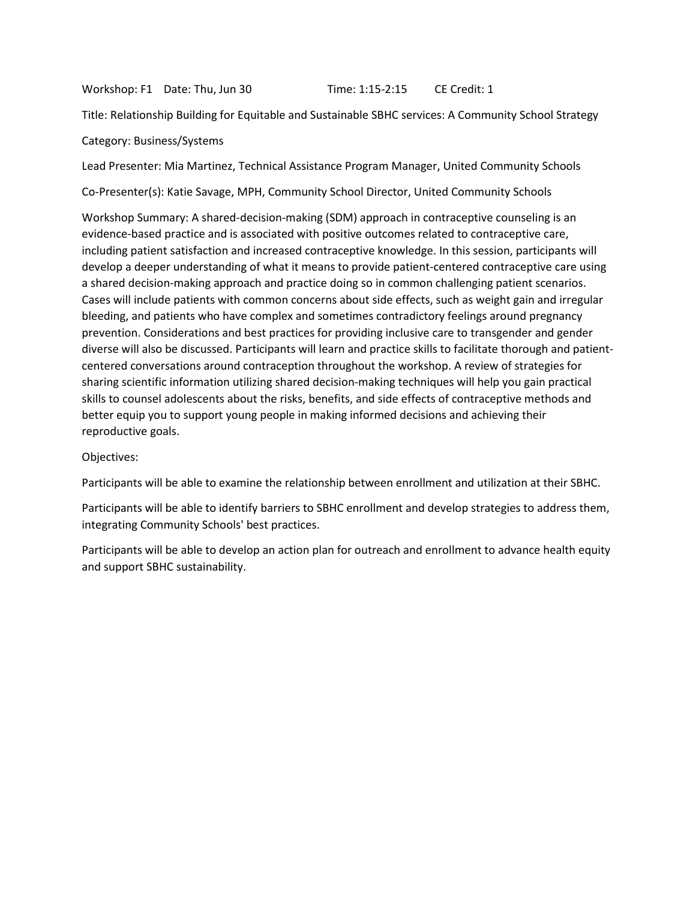Workshop: F1 Date: Thu, Jun 30 Time: 1:15-2:15 CE Credit: 1

Title: Relationship Building for Equitable and Sustainable SBHC services: A Community School Strategy

Category: Business/Systems

Lead Presenter: Mia Martinez, Technical Assistance Program Manager, United Community Schools

Co-Presenter(s): Katie Savage, MPH, Community School Director, United Community Schools

Workshop Summary: A shared-decision-making (SDM) approach in contraceptive counseling is an evidence-based practice and is associated with positive outcomes related to contraceptive care, including patient satisfaction and increased contraceptive knowledge. In this session, participants will develop a deeper understanding of what it means to provide patient-centered contraceptive care using a shared decision-making approach and practice doing so in common challenging patient scenarios. Cases will include patients with common concerns about side effects, such as weight gain and irregular bleeding, and patients who have complex and sometimes contradictory feelings around pregnancy prevention. Considerations and best practices for providing inclusive care to transgender and gender diverse will also be discussed. Participants will learn and practice skills to facilitate thorough and patientcentered conversations around contraception throughout the workshop. A review of strategies for sharing scientific information utilizing shared decision-making techniques will help you gain practical skills to counsel adolescents about the risks, benefits, and side effects of contraceptive methods and better equip you to support young people in making informed decisions and achieving their reproductive goals.

Objectives:

Participants will be able to examine the relationship between enrollment and utilization at their SBHC.

Participants will be able to identify barriers to SBHC enrollment and develop strategies to address them, integrating Community Schools' best practices.

Participants will be able to develop an action plan for outreach and enrollment to advance health equity and support SBHC sustainability.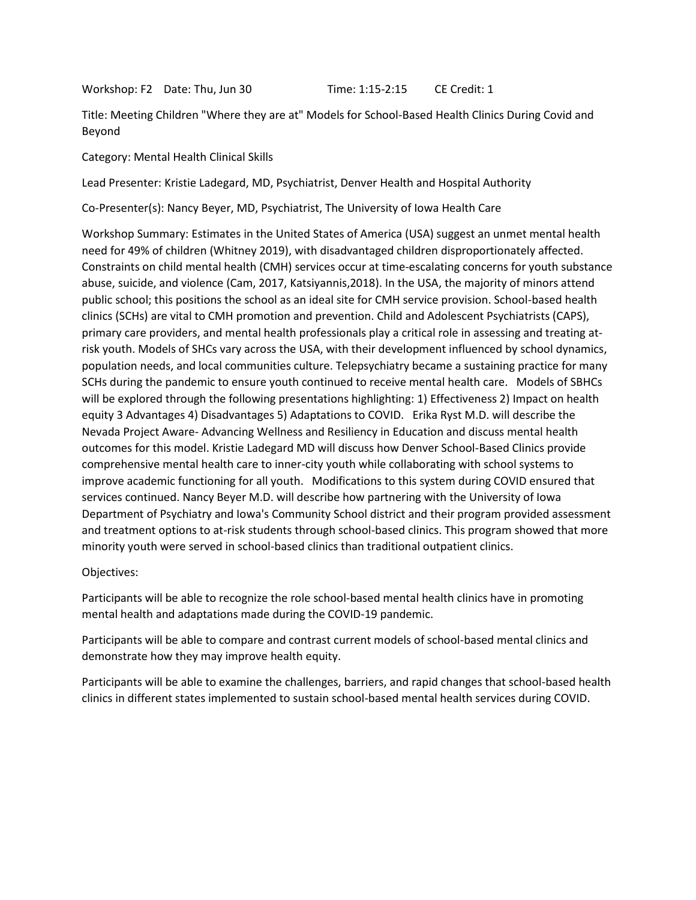Workshop: F2 Date: Thu, Jun 30 Time: 1:15-2:15 CE Credit: 1

Title: Meeting Children "Where they are at" Models for School-Based Health Clinics During Covid and Beyond

Category: Mental Health Clinical Skills

Lead Presenter: Kristie Ladegard, MD, Psychiatrist, Denver Health and Hospital Authority

Co-Presenter(s): Nancy Beyer, MD, Psychiatrist, The University of Iowa Health Care

Workshop Summary: Estimates in the United States of America (USA) suggest an unmet mental health need for 49% of children (Whitney 2019), with disadvantaged children disproportionately affected. Constraints on child mental health (CMH) services occur at time-escalating concerns for youth substance abuse, suicide, and violence (Cam, 2017, Katsiyannis,2018). In the USA, the majority of minors attend public school; this positions the school as an ideal site for CMH service provision. School-based health clinics (SCHs) are vital to CMH promotion and prevention. Child and Adolescent Psychiatrists (CAPS), primary care providers, and mental health professionals play a critical role in assessing and treating atrisk youth. Models of SHCs vary across the USA, with their development influenced by school dynamics, population needs, and local communities culture. Telepsychiatry became a sustaining practice for many SCHs during the pandemic to ensure youth continued to receive mental health care. Models of SBHCs will be explored through the following presentations highlighting: 1) Effectiveness 2) Impact on health equity 3 Advantages 4) Disadvantages 5) Adaptations to COVID. Erika Ryst M.D. will describe the Nevada Project Aware- Advancing Wellness and Resiliency in Education and discuss mental health outcomes for this model. Kristie Ladegard MD will discuss how Denver School-Based Clinics provide comprehensive mental health care to inner-city youth while collaborating with school systems to improve academic functioning for all youth. Modifications to this system during COVID ensured that services continued. Nancy Beyer M.D. will describe how partnering with the University of Iowa Department of Psychiatry and Iowa's Community School district and their program provided assessment and treatment options to at-risk students through school-based clinics. This program showed that more minority youth were served in school-based clinics than traditional outpatient clinics.

# Objectives:

Participants will be able to recognize the role school-based mental health clinics have in promoting mental health and adaptations made during the COVID-19 pandemic.

Participants will be able to compare and contrast current models of school-based mental clinics and demonstrate how they may improve health equity.

Participants will be able to examine the challenges, barriers, and rapid changes that school-based health clinics in different states implemented to sustain school-based mental health services during COVID.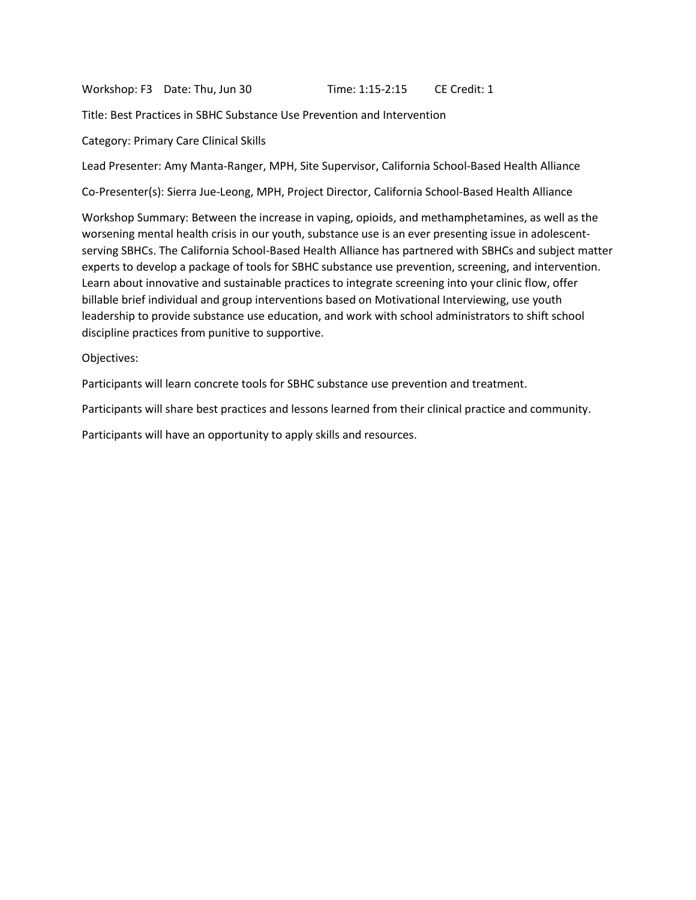Workshop: F3 Date: Thu, Jun 30 Time: 1:15-2:15 CE Credit: 1

Title: Best Practices in SBHC Substance Use Prevention and Intervention

Category: Primary Care Clinical Skills

Lead Presenter: Amy Manta-Ranger, MPH, Site Supervisor, California School-Based Health Alliance

Co-Presenter(s): Sierra Jue-Leong, MPH, Project Director, California School-Based Health Alliance

Workshop Summary: Between the increase in vaping, opioids, and methamphetamines, as well as the worsening mental health crisis in our youth, substance use is an ever presenting issue in adolescentserving SBHCs. The California School-Based Health Alliance has partnered with SBHCs and subject matter experts to develop a package of tools for SBHC substance use prevention, screening, and intervention. Learn about innovative and sustainable practices to integrate screening into your clinic flow, offer billable brief individual and group interventions based on Motivational Interviewing, use youth leadership to provide substance use education, and work with school administrators to shift school discipline practices from punitive to supportive.

Objectives:

Participants will learn concrete tools for SBHC substance use prevention and treatment.

Participants will share best practices and lessons learned from their clinical practice and community.

Participants will have an opportunity to apply skills and resources.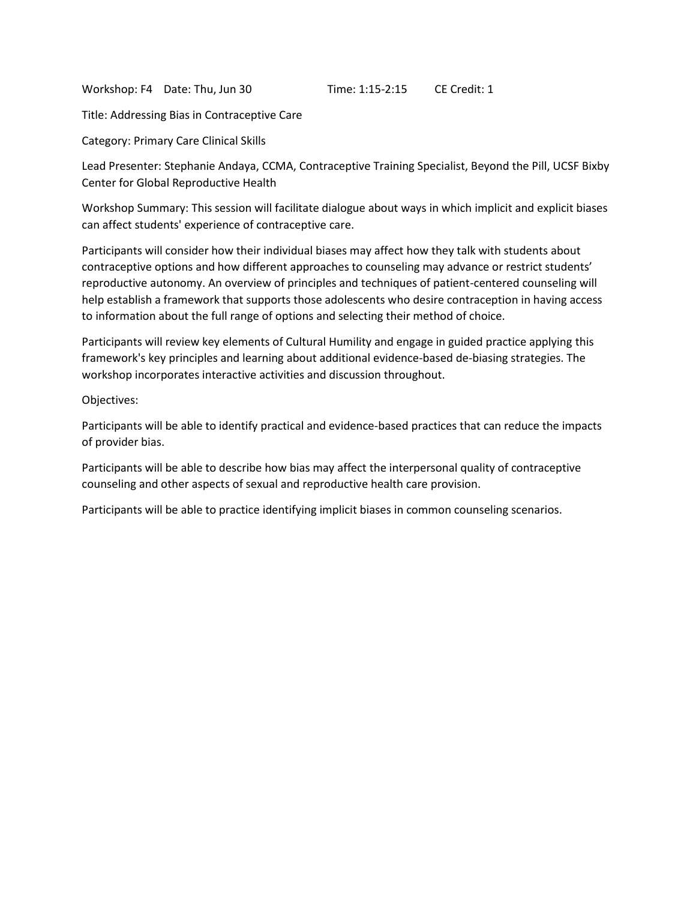Workshop: F4 Date: Thu, Jun 30 Time: 1:15-2:15 CE Credit: 1

Title: Addressing Bias in Contraceptive Care

Category: Primary Care Clinical Skills

Lead Presenter: Stephanie Andaya, CCMA, Contraceptive Training Specialist, Beyond the Pill, UCSF Bixby Center for Global Reproductive Health

Workshop Summary: This session will facilitate dialogue about ways in which implicit and explicit biases can affect students' experience of contraceptive care.

Participants will consider how their individual biases may affect how they talk with students about contraceptive options and how different approaches to counseling may advance or restrict students' reproductive autonomy. An overview of principles and techniques of patient-centered counseling will help establish a framework that supports those adolescents who desire contraception in having access to information about the full range of options and selecting their method of choice.

Participants will review key elements of Cultural Humility and engage in guided practice applying this framework's key principles and learning about additional evidence-based de-biasing strategies. The workshop incorporates interactive activities and discussion throughout.

Objectives:

Participants will be able to identify practical and evidence-based practices that can reduce the impacts of provider bias.

Participants will be able to describe how bias may affect the interpersonal quality of contraceptive counseling and other aspects of sexual and reproductive health care provision.

Participants will be able to practice identifying implicit biases in common counseling scenarios.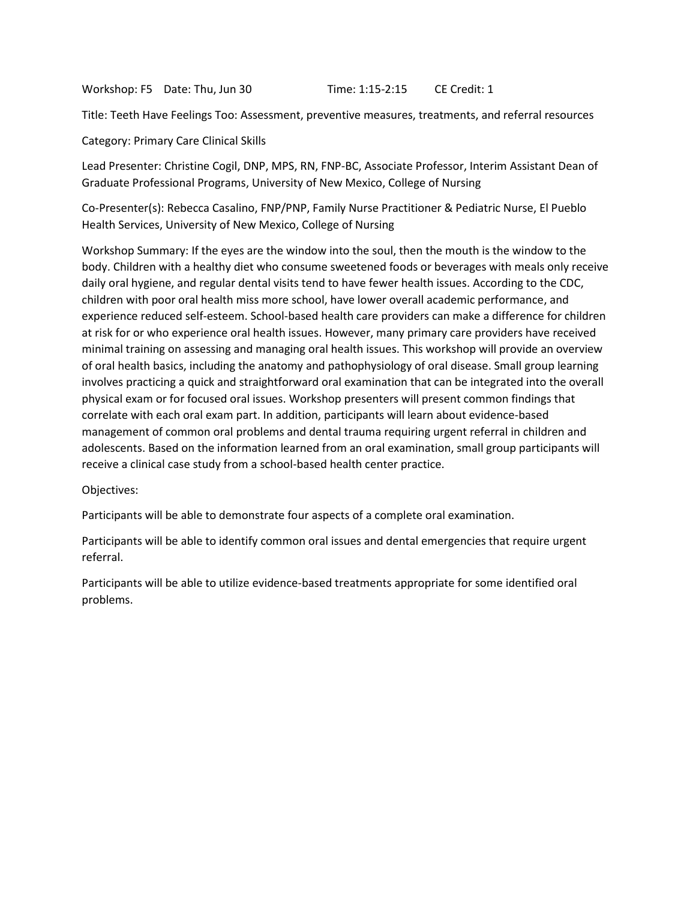Workshop: F5 Date: Thu, Jun 30 Time: 1:15-2:15 CE Credit: 1

Title: Teeth Have Feelings Too: Assessment, preventive measures, treatments, and referral resources

Category: Primary Care Clinical Skills

Lead Presenter: Christine Cogil, DNP, MPS, RN, FNP-BC, Associate Professor, Interim Assistant Dean of Graduate Professional Programs, University of New Mexico, College of Nursing

Co-Presenter(s): Rebecca Casalino, FNP/PNP, Family Nurse Practitioner & Pediatric Nurse, El Pueblo Health Services, University of New Mexico, College of Nursing

Workshop Summary: If the eyes are the window into the soul, then the mouth is the window to the body. Children with a healthy diet who consume sweetened foods or beverages with meals only receive daily oral hygiene, and regular dental visits tend to have fewer health issues. According to the CDC, children with poor oral health miss more school, have lower overall academic performance, and experience reduced self-esteem. School-based health care providers can make a difference for children at risk for or who experience oral health issues. However, many primary care providers have received minimal training on assessing and managing oral health issues. This workshop will provide an overview of oral health basics, including the anatomy and pathophysiology of oral disease. Small group learning involves practicing a quick and straightforward oral examination that can be integrated into the overall physical exam or for focused oral issues. Workshop presenters will present common findings that correlate with each oral exam part. In addition, participants will learn about evidence-based management of common oral problems and dental trauma requiring urgent referral in children and adolescents. Based on the information learned from an oral examination, small group participants will receive a clinical case study from a school-based health center practice.

Objectives:

Participants will be able to demonstrate four aspects of a complete oral examination.

Participants will be able to identify common oral issues and dental emergencies that require urgent referral.

Participants will be able to utilize evidence-based treatments appropriate for some identified oral problems.